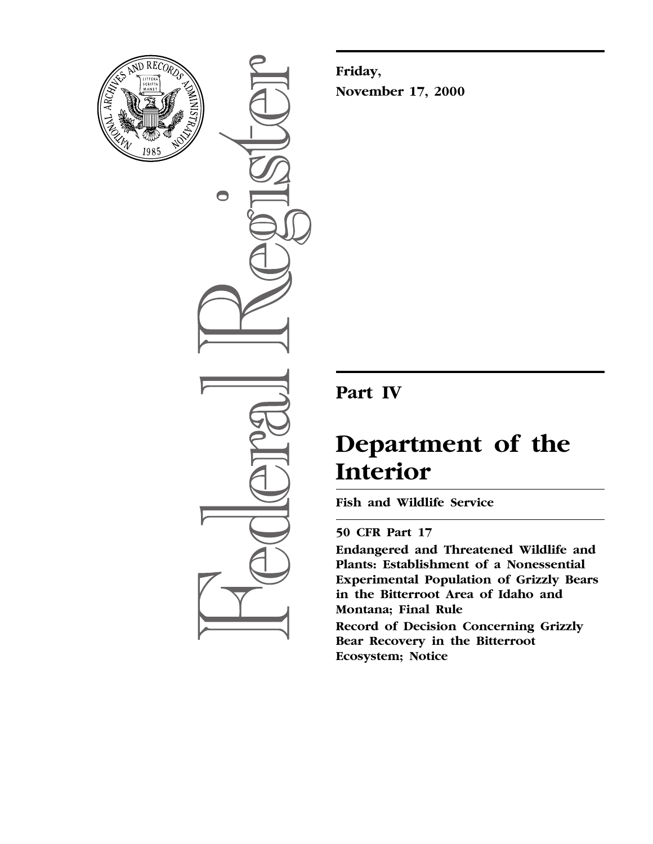

 $\bigcirc$ 

**Friday, November 17, 2000**

# **Part IV**

# **Department of the Interior**

**Fish and Wildlife Service**

# **50 CFR Part 17**

**Endangered and Threatened Wildlife and Plants: Establishment of a Nonessential Experimental Population of Grizzly Bears in the Bitterroot Area of Idaho and Montana; Final Rule**

**Record of Decision Concerning Grizzly Bear Recovery in the Bitterroot Ecosystem; Notice**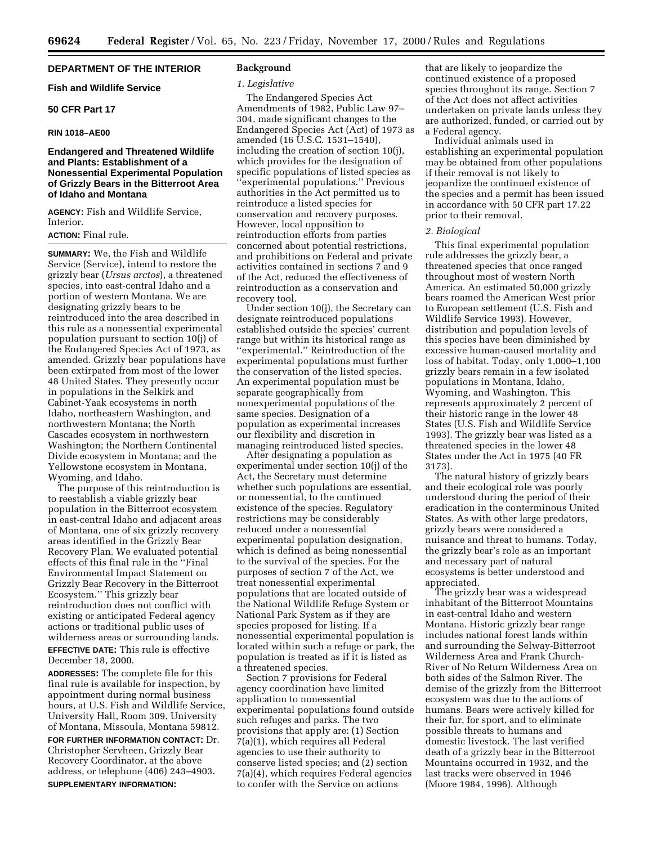#### **DEPARTMENT OF THE INTERIOR**

#### **Fish and Wildlife Service**

## **50 CFR Part 17**

#### **RIN 1018–AE00**

#### **Endangered and Threatened Wildlife and Plants: Establishment of a Nonessential Experimental Population of Grizzly Bears in the Bitterroot Area of Idaho and Montana**

**AGENCY:** Fish and Wildlife Service, **Interior** 

# **ACTION:** Final rule.

**SUMMARY:** We, the Fish and Wildlife Service (Service), intend to restore the grizzly bear (*Ursus arctos*), a threatened species, into east-central Idaho and a portion of western Montana. We are designating grizzly bears to be reintroduced into the area described in this rule as a nonessential experimental population pursuant to section 10(j) of the Endangered Species Act of 1973, as amended. Grizzly bear populations have been extirpated from most of the lower 48 United States. They presently occur in populations in the Selkirk and Cabinet-Yaak ecosystems in north Idaho, northeastern Washington, and northwestern Montana; the North Cascades ecosystem in northwestern Washington; the Northern Continental Divide ecosystem in Montana; and the Yellowstone ecosystem in Montana, Wyoming, and Idaho.

The purpose of this reintroduction is to reestablish a viable grizzly bear population in the Bitterroot ecosystem in east-central Idaho and adjacent areas of Montana, one of six grizzly recovery areas identified in the Grizzly Bear Recovery Plan. We evaluated potential effects of this final rule in the ''Final Environmental Impact Statement on Grizzly Bear Recovery in the Bitterroot Ecosystem.'' This grizzly bear reintroduction does not conflict with existing or anticipated Federal agency actions or traditional public uses of wilderness areas or surrounding lands. **EFFECTIVE DATE:** This rule is effective December 18, 2000.

**ADDRESSES:** The complete file for this final rule is available for inspection, by appointment during normal business hours, at U.S. Fish and Wildlife Service, University Hall, Room 309, University of Montana, Missoula, Montana 59812.

**FOR FURTHER INFORMATION CONTACT:** Dr. Christopher Servheen, Grizzly Bear Recovery Coordinator, at the above address, or telephone (406) 243–4903. **SUPPLEMENTARY INFORMATION:**

#### **Background**

#### *1. Legislative*

The Endangered Species Act Amendments of 1982, Public Law 97– 304, made significant changes to the Endangered Species Act (Act) of 1973 as amended (16 U.S.C. 1531–1540), including the creation of section 10(j), which provides for the designation of specific populations of listed species as ''experimental populations.'' Previous authorities in the Act permitted us to reintroduce a listed species for conservation and recovery purposes. However, local opposition to reintroduction efforts from parties concerned about potential restrictions, and prohibitions on Federal and private activities contained in sections 7 and 9 of the Act, reduced the effectiveness of reintroduction as a conservation and recovery tool.

Under section 10(j), the Secretary can designate reintroduced populations established outside the species' current range but within its historical range as ''experimental.'' Reintroduction of the experimental populations must further the conservation of the listed species. An experimental population must be separate geographically from nonexperimental populations of the same species. Designation of a population as experimental increases our flexibility and discretion in managing reintroduced listed species.

After designating a population as experimental under section 10(j) of the Act, the Secretary must determine whether such populations are essential, or nonessential, to the continued existence of the species. Regulatory restrictions may be considerably reduced under a nonessential experimental population designation, which is defined as being nonessential to the survival of the species. For the purposes of section 7 of the Act, we treat nonessential experimental populations that are located outside of the National Wildlife Refuge System or National Park System as if they are species proposed for listing. If a nonessential experimental population is located within such a refuge or park, the population is treated as if it is listed as a threatened species.

Section 7 provisions for Federal agency coordination have limited application to nonessential experimental populations found outside such refuges and parks. The two provisions that apply are: (1) Section 7(a)(1), which requires all Federal agencies to use their authority to conserve listed species; and (2) section 7(a)(4), which requires Federal agencies to confer with the Service on actions

that are likely to jeopardize the continued existence of a proposed species throughout its range. Section 7 of the Act does not affect activities undertaken on private lands unless they are authorized, funded, or carried out by a Federal agency.

Individual animals used in establishing an experimental population may be obtained from other populations if their removal is not likely to jeopardize the continued existence of the species and a permit has been issued in accordance with 50 CFR part 17.22 prior to their removal.

#### *2. Biological*

This final experimental population rule addresses the grizzly bear, a threatened species that once ranged throughout most of western North America. An estimated 50,000 grizzly bears roamed the American West prior to European settlement (U.S. Fish and Wildlife Service 1993). However, distribution and population levels of this species have been diminished by excessive human-caused mortality and loss of habitat. Today, only 1,000–1,100 grizzly bears remain in a few isolated populations in Montana, Idaho, Wyoming, and Washington. This represents approximately 2 percent of their historic range in the lower 48 States (U.S. Fish and Wildlife Service 1993). The grizzly bear was listed as a threatened species in the lower 48 States under the Act in 1975 (40 FR 3173).

The natural history of grizzly bears and their ecological role was poorly understood during the period of their eradication in the conterminous United States. As with other large predators, grizzly bears were considered a nuisance and threat to humans. Today, the grizzly bear's role as an important and necessary part of natural ecosystems is better understood and appreciated.

The grizzly bear was a widespread inhabitant of the Bitterroot Mountains in east-central Idaho and western Montana. Historic grizzly bear range includes national forest lands within and surrounding the Selway-Bitterroot Wilderness Area and Frank Church-River of No Return Wilderness Area on both sides of the Salmon River. The demise of the grizzly from the Bitterroot ecosystem was due to the actions of humans. Bears were actively killed for their fur, for sport, and to eliminate possible threats to humans and domestic livestock. The last verified death of a grizzly bear in the Bitterroot Mountains occurred in 1932, and the last tracks were observed in 1946 (Moore 1984, 1996). Although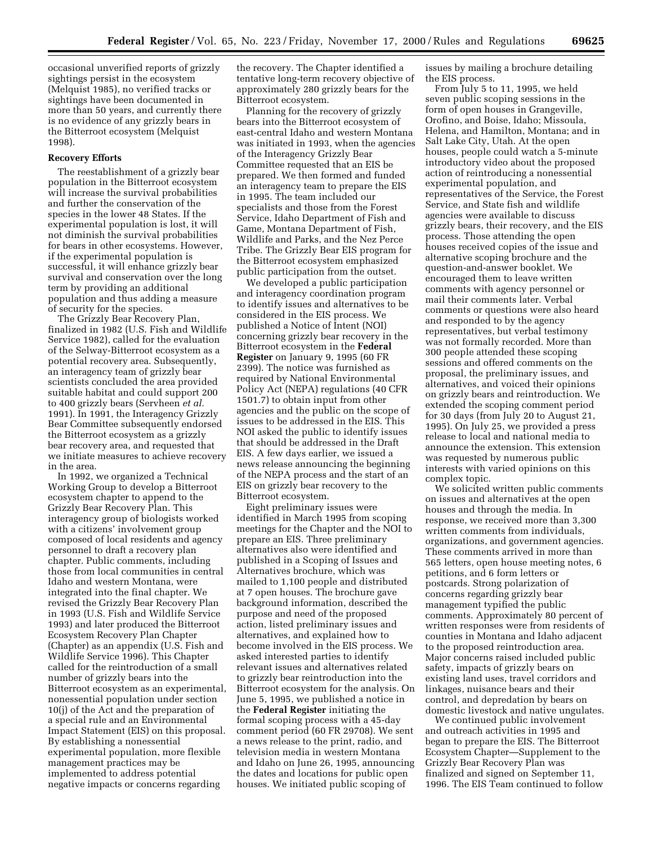occasional unverified reports of grizzly sightings persist in the ecosystem (Melquist 1985), no verified tracks or sightings have been documented in more than 50 years, and currently there is no evidence of any grizzly bears in the Bitterroot ecosystem (Melquist 1998).

#### **Recovery Efforts**

The reestablishment of a grizzly bear population in the Bitterroot ecosystem will increase the survival probabilities and further the conservation of the species in the lower 48 States. If the experimental population is lost, it will not diminish the survival probabilities for bears in other ecosystems. However, if the experimental population is successful, it will enhance grizzly bear survival and conservation over the long term by providing an additional population and thus adding a measure of security for the species.

The Grizzly Bear Recovery Plan, finalized in 1982 (U.S. Fish and Wildlife Service 1982), called for the evaluation of the Selway-Bitterroot ecosystem as a potential recovery area. Subsequently, an interagency team of grizzly bear scientists concluded the area provided suitable habitat and could support 200 to 400 grizzly bears (Servheen *et al.* 1991). In 1991, the Interagency Grizzly Bear Committee subsequently endorsed the Bitterroot ecosystem as a grizzly bear recovery area, and requested that we initiate measures to achieve recovery in the area.

In 1992, we organized a Technical Working Group to develop a Bitterroot ecosystem chapter to append to the Grizzly Bear Recovery Plan. This interagency group of biologists worked with a citizens' involvement group composed of local residents and agency personnel to draft a recovery plan chapter. Public comments, including those from local communities in central Idaho and western Montana, were integrated into the final chapter. We revised the Grizzly Bear Recovery Plan in 1993 (U.S. Fish and Wildlife Service 1993) and later produced the Bitterroot Ecosystem Recovery Plan Chapter (Chapter) as an appendix (U.S. Fish and Wildlife Service 1996). This Chapter called for the reintroduction of a small number of grizzly bears into the Bitterroot ecosystem as an experimental, nonessential population under section 10(j) of the Act and the preparation of a special rule and an Environmental Impact Statement (EIS) on this proposal. By establishing a nonessential experimental population, more flexible management practices may be implemented to address potential negative impacts or concerns regarding

the recovery. The Chapter identified a tentative long-term recovery objective of approximately 280 grizzly bears for the Bitterroot ecosystem.

Planning for the recovery of grizzly bears into the Bitterroot ecosystem of east-central Idaho and western Montana was initiated in 1993, when the agencies of the Interagency Grizzly Bear Committee requested that an EIS be prepared. We then formed and funded an interagency team to prepare the EIS in 1995. The team included our specialists and those from the Forest Service, Idaho Department of Fish and Game, Montana Department of Fish, Wildlife and Parks, and the Nez Perce Tribe. The Grizzly Bear EIS program for the Bitterroot ecosystem emphasized public participation from the outset.

We developed a public participation and interagency coordination program to identify issues and alternatives to be considered in the EIS process. We published a Notice of Intent (NOI) concerning grizzly bear recovery in the Bitterroot ecosystem in the **Federal Register** on January 9, 1995 (60 FR 2399). The notice was furnished as required by National Environmental Policy Act (NEPA) regulations (40 CFR 1501.7) to obtain input from other agencies and the public on the scope of issues to be addressed in the EIS. This NOI asked the public to identify issues that should be addressed in the Draft EIS. A few days earlier, we issued a news release announcing the beginning of the NEPA process and the start of an EIS on grizzly bear recovery to the Bitterroot ecosystem.

Eight preliminary issues were identified in March 1995 from scoping meetings for the Chapter and the NOI to prepare an EIS. Three preliminary alternatives also were identified and published in a Scoping of Issues and Alternatives brochure, which was mailed to 1,100 people and distributed at 7 open houses. The brochure gave background information, described the purpose and need of the proposed action, listed preliminary issues and alternatives, and explained how to become involved in the EIS process. We asked interested parties to identify relevant issues and alternatives related to grizzly bear reintroduction into the Bitterroot ecosystem for the analysis. On June 5, 1995, we published a notice in the **Federal Register** initiating the formal scoping process with a 45-day comment period (60 FR 29708). We sent a news release to the print, radio, and television media in western Montana and Idaho on June 26, 1995, announcing the dates and locations for public open houses. We initiated public scoping of

issues by mailing a brochure detailing the EIS process.

From July 5 to 11, 1995, we held seven public scoping sessions in the form of open houses in Grangeville, Orofino, and Boise, Idaho; Missoula, Helena, and Hamilton, Montana; and in Salt Lake City, Utah. At the open houses, people could watch a 5-minute introductory video about the proposed action of reintroducing a nonessential experimental population, and representatives of the Service, the Forest Service, and State fish and wildlife agencies were available to discuss grizzly bears, their recovery, and the EIS process. Those attending the open houses received copies of the issue and alternative scoping brochure and the question-and-answer booklet. We encouraged them to leave written comments with agency personnel or mail their comments later. Verbal comments or questions were also heard and responded to by the agency representatives, but verbal testimony was not formally recorded. More than 300 people attended these scoping sessions and offered comments on the proposal, the preliminary issues, and alternatives, and voiced their opinions on grizzly bears and reintroduction. We extended the scoping comment period for 30 days (from July 20 to August 21, 1995). On July 25, we provided a press release to local and national media to announce the extension. This extension was requested by numerous public interests with varied opinions on this complex topic.

We solicited written public comments on issues and alternatives at the open houses and through the media. In response, we received more than 3,300 written comments from individuals, organizations, and government agencies. These comments arrived in more than 565 letters, open house meeting notes, 6 petitions, and 6 form letters or postcards. Strong polarization of concerns regarding grizzly bear management typified the public comments. Approximately 80 percent of written responses were from residents of counties in Montana and Idaho adjacent to the proposed reintroduction area. Major concerns raised included public safety, impacts of grizzly bears on existing land uses, travel corridors and linkages, nuisance bears and their control, and depredation by bears on domestic livestock and native ungulates.

We continued public involvement and outreach activities in 1995 and began to prepare the EIS. The Bitterroot Ecosystem Chapter—Supplement to the Grizzly Bear Recovery Plan was finalized and signed on September 11, 1996. The EIS Team continued to follow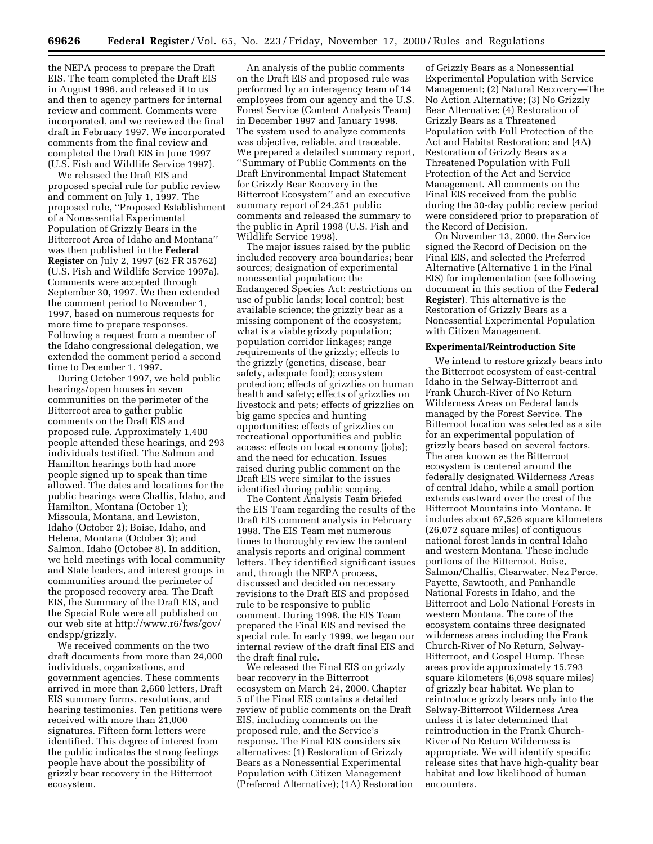the NEPA process to prepare the Draft EIS. The team completed the Draft EIS in August 1996, and released it to us and then to agency partners for internal review and comment. Comments were incorporated, and we reviewed the final draft in February 1997. We incorporated comments from the final review and completed the Draft EIS in June 1997 (U.S. Fish and Wildlife Service 1997).

We released the Draft EIS and proposed special rule for public review and comment on July 1, 1997. The proposed rule, ''Proposed Establishment of a Nonessential Experimental Population of Grizzly Bears in the Bitterroot Area of Idaho and Montana'' was then published in the **Federal Register** on July 2, 1997 (62 FR 35762) (U.S. Fish and Wildlife Service 1997a). Comments were accepted through September 30, 1997. We then extended the comment period to November 1, 1997, based on numerous requests for more time to prepare responses. Following a request from a member of the Idaho congressional delegation, we extended the comment period a second time to December 1, 1997.

During October 1997, we held public hearings/open houses in seven communities on the perimeter of the Bitterroot area to gather public comments on the Draft EIS and proposed rule. Approximately 1,400 people attended these hearings, and 293 individuals testified. The Salmon and Hamilton hearings both had more people signed up to speak than time allowed. The dates and locations for the public hearings were Challis, Idaho, and Hamilton, Montana (October 1); Missoula, Montana, and Lewiston, Idaho (October 2); Boise, Idaho, and Helena, Montana (October 3); and Salmon, Idaho (October 8). In addition, we held meetings with local community and State leaders, and interest groups in communities around the perimeter of the proposed recovery area. The Draft EIS, the Summary of the Draft EIS, and the Special Rule were all published on our web site at http://www.r6/fws/gov/ endspp/grizzly.

We received comments on the two draft documents from more than 24,000 individuals, organizations, and government agencies. These comments arrived in more than 2,660 letters, Draft EIS summary forms, resolutions, and hearing testimonies. Ten petitions were received with more than 21,000 signatures. Fifteen form letters were identified. This degree of interest from the public indicates the strong feelings people have about the possibility of grizzly bear recovery in the Bitterroot ecosystem.

An analysis of the public comments on the Draft EIS and proposed rule was performed by an interagency team of 14 employees from our agency and the U.S. Forest Service (Content Analysis Team) in December 1997 and January 1998. The system used to analyze comments was objective, reliable, and traceable. We prepared a detailed summary report, ''Summary of Public Comments on the Draft Environmental Impact Statement for Grizzly Bear Recovery in the Bitterroot Ecosystem'' and an executive summary report of 24,251 public comments and released the summary to the public in April 1998 (U.S. Fish and Wildlife Service 1998).

The major issues raised by the public included recovery area boundaries; bear sources; designation of experimental nonessential population; the Endangered Species Act; restrictions on use of public lands; local control; best available science; the grizzly bear as a missing component of the ecosystem; what is a viable grizzly population; population corridor linkages; range requirements of the grizzly; effects to the grizzly (genetics, disease, bear safety, adequate food); ecosystem protection; effects of grizzlies on human health and safety; effects of grizzlies on livestock and pets; effects of grizzlies on big game species and hunting opportunities; effects of grizzlies on recreational opportunities and public access; effects on local economy (jobs); and the need for education. Issues raised during public comment on the Draft EIS were similar to the issues identified during public scoping.

The Content Analysis Team briefed the EIS Team regarding the results of the Draft EIS comment analysis in February 1998. The EIS Team met numerous times to thoroughly review the content analysis reports and original comment letters. They identified significant issues and, through the NEPA process, discussed and decided on necessary revisions to the Draft EIS and proposed rule to be responsive to public comment. During 1998, the EIS Team prepared the Final EIS and revised the special rule. In early 1999, we began our internal review of the draft final EIS and the draft final rule.

We released the Final EIS on grizzly bear recovery in the Bitterroot ecosystem on March 24, 2000. Chapter 5 of the Final EIS contains a detailed review of public comments on the Draft EIS, including comments on the proposed rule, and the Service's response. The Final EIS considers six alternatives: (1) Restoration of Grizzly Bears as a Nonessential Experimental Population with Citizen Management (Preferred Alternative); (1A) Restoration

of Grizzly Bears as a Nonessential Experimental Population with Service Management; (2) Natural Recovery—The No Action Alternative; (3) No Grizzly Bear Alternative; (4) Restoration of Grizzly Bears as a Threatened Population with Full Protection of the Act and Habitat Restoration; and (4A) Restoration of Grizzly Bears as a Threatened Population with Full Protection of the Act and Service Management. All comments on the Final EIS received from the public during the 30-day public review period were considered prior to preparation of the Record of Decision.

On November 13, 2000, the Service signed the Record of Decision on the Final EIS, and selected the Preferred Alternative (Alternative 1 in the Final EIS) for implementation (see following document in this section of the **Federal Register**). This alternative is the Restoration of Grizzly Bears as a Nonessential Experimental Population with Citizen Management.

#### **Experimental/Reintroduction Site**

We intend to restore grizzly bears into the Bitterroot ecosystem of east-central Idaho in the Selway-Bitterroot and Frank Church-River of No Return Wilderness Areas on Federal lands managed by the Forest Service. The Bitterroot location was selected as a site for an experimental population of grizzly bears based on several factors. The area known as the Bitterroot ecosystem is centered around the federally designated Wilderness Areas of central Idaho, while a small portion extends eastward over the crest of the Bitterroot Mountains into Montana. It includes about 67,526 square kilometers (26,072 square miles) of contiguous national forest lands in central Idaho and western Montana. These include portions of the Bitterroot, Boise, Salmon/Challis, Clearwater, Nez Perce, Payette, Sawtooth, and Panhandle National Forests in Idaho, and the Bitterroot and Lolo National Forests in western Montana. The core of the ecosystem contains three designated wilderness areas including the Frank Church-River of No Return, Selway-Bitterroot, and Gospel Hump. These areas provide approximately 15,793 square kilometers (6,098 square miles) of grizzly bear habitat. We plan to reintroduce grizzly bears only into the Selway-Bitterroot Wilderness Area unless it is later determined that reintroduction in the Frank Church-River of No Return Wilderness is appropriate. We will identify specific release sites that have high-quality bear habitat and low likelihood of human encounters.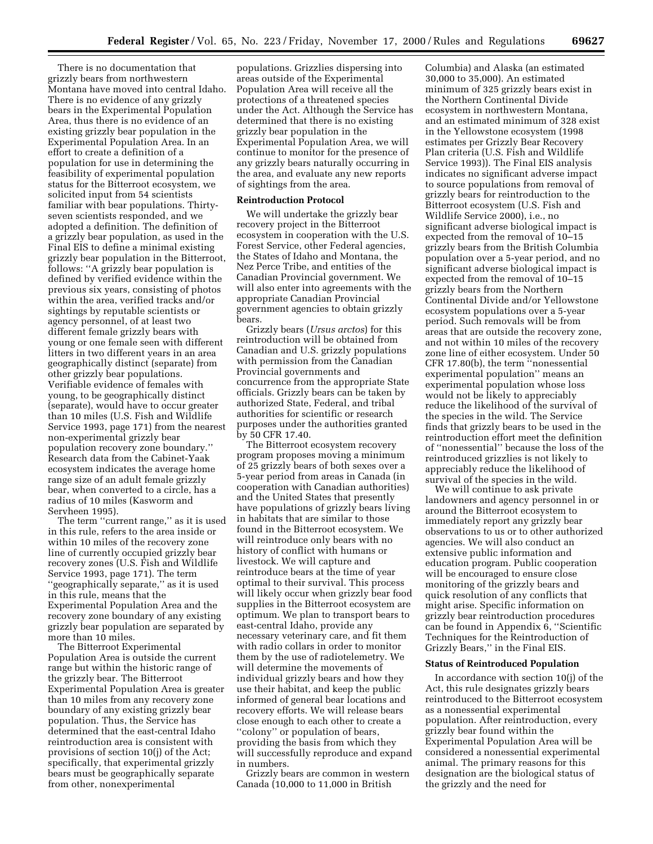There is no documentation that grizzly bears from northwestern Montana have moved into central Idaho. There is no evidence of any grizzly bears in the Experimental Population Area, thus there is no evidence of an existing grizzly bear population in the Experimental Population Area. In an effort to create a definition of a population for use in determining the feasibility of experimental population status for the Bitterroot ecosystem, we solicited input from 54 scientists familiar with bear populations. Thirtyseven scientists responded, and we adopted a definition. The definition of a grizzly bear population, as used in the Final EIS to define a minimal existing grizzly bear population in the Bitterroot, follows: ''A grizzly bear population is defined by verified evidence within the previous six years, consisting of photos within the area, verified tracks and/or sightings by reputable scientists or agency personnel, of at least two different female grizzly bears with young or one female seen with different litters in two different years in an area geographically distinct (separate) from other grizzly bear populations. Verifiable evidence of females with young, to be geographically distinct (separate), would have to occur greater than 10 miles (U.S. Fish and Wildlife Service 1993, page 171) from the nearest non-experimental grizzly bear population recovery zone boundary.'' Research data from the Cabinet-Yaak ecosystem indicates the average home range size of an adult female grizzly bear, when converted to a circle, has a radius of 10 miles (Kasworm and Servheen 1995).

The term "current range," as it is used in this rule, refers to the area inside or within 10 miles of the recovery zone line of currently occupied grizzly bear recovery zones (U.S. Fish and Wildlife Service 1993, page 171). The term ''geographically separate,'' as it is used in this rule, means that the Experimental Population Area and the recovery zone boundary of any existing grizzly bear population are separated by more than 10 miles.

The Bitterroot Experimental Population Area is outside the current range but within the historic range of the grizzly bear. The Bitterroot Experimental Population Area is greater than 10 miles from any recovery zone boundary of any existing grizzly bear population. Thus, the Service has determined that the east-central Idaho reintroduction area is consistent with provisions of section 10(j) of the Act; specifically, that experimental grizzly bears must be geographically separate from other, nonexperimental

populations. Grizzlies dispersing into areas outside of the Experimental Population Area will receive all the protections of a threatened species under the Act. Although the Service has determined that there is no existing grizzly bear population in the Experimental Population Area, we will continue to monitor for the presence of any grizzly bears naturally occurring in the area, and evaluate any new reports of sightings from the area.

#### **Reintroduction Protocol**

We will undertake the grizzly bear recovery project in the Bitterroot ecosystem in cooperation with the U.S. Forest Service, other Federal agencies, the States of Idaho and Montana, the Nez Perce Tribe, and entities of the Canadian Provincial government. We will also enter into agreements with the appropriate Canadian Provincial government agencies to obtain grizzly bears.

Grizzly bears (*Ursus arctos*) for this reintroduction will be obtained from Canadian and U.S. grizzly populations with permission from the Canadian Provincial governments and concurrence from the appropriate State officials. Grizzly bears can be taken by authorized State, Federal, and tribal authorities for scientific or research purposes under the authorities granted by 50 CFR 17.40.

The Bitterroot ecosystem recovery program proposes moving a minimum of 25 grizzly bears of both sexes over a 5-year period from areas in Canada (in cooperation with Canadian authorities) and the United States that presently have populations of grizzly bears living in habitats that are similar to those found in the Bitterroot ecosystem. We will reintroduce only bears with no history of conflict with humans or livestock. We will capture and reintroduce bears at the time of year optimal to their survival. This process will likely occur when grizzly bear food supplies in the Bitterroot ecosystem are optimum. We plan to transport bears to east-central Idaho, provide any necessary veterinary care, and fit them with radio collars in order to monitor them by the use of radiotelemetry. We will determine the movements of individual grizzly bears and how they use their habitat, and keep the public informed of general bear locations and recovery efforts. We will release bears close enough to each other to create a ''colony'' or population of bears, providing the basis from which they will successfully reproduce and expand in numbers.

Grizzly bears are common in western Canada (10,000 to 11,000 in British

Columbia) and Alaska (an estimated 30,000 to 35,000). An estimated minimum of 325 grizzly bears exist in the Northern Continental Divide ecosystem in northwestern Montana, and an estimated minimum of 328 exist in the Yellowstone ecosystem (1998 estimates per Grizzly Bear Recovery Plan criteria (U.S. Fish and Wildlife Service 1993)). The Final EIS analysis indicates no significant adverse impact to source populations from removal of grizzly bears for reintroduction to the Bitterroot ecosystem (U.S. Fish and Wildlife Service 2000), i.e., no significant adverse biological impact is expected from the removal of 10–15 grizzly bears from the British Columbia population over a 5-year period, and no significant adverse biological impact is expected from the removal of 10–15 grizzly bears from the Northern Continental Divide and/or Yellowstone ecosystem populations over a 5-year period. Such removals will be from areas that are outside the recovery zone, and not within 10 miles of the recovery zone line of either ecosystem. Under 50 CFR 17.80(b), the term ''nonessential experimental population'' means an experimental population whose loss would not be likely to appreciably reduce the likelihood of the survival of the species in the wild. The Service finds that grizzly bears to be used in the reintroduction effort meet the definition of ''nonessential'' because the loss of the reintroduced grizzlies is not likely to appreciably reduce the likelihood of survival of the species in the wild.

We will continue to ask private landowners and agency personnel in or around the Bitterroot ecosystem to immediately report any grizzly bear observations to us or to other authorized agencies. We will also conduct an extensive public information and education program. Public cooperation will be encouraged to ensure close monitoring of the grizzly bears and quick resolution of any conflicts that might arise. Specific information on grizzly bear reintroduction procedures can be found in Appendix 6, ''Scientific Techniques for the Reintroduction of Grizzly Bears,'' in the Final EIS.

#### **Status of Reintroduced Population**

In accordance with section 10(j) of the Act, this rule designates grizzly bears reintroduced to the Bitterroot ecosystem as a nonessential experimental population. After reintroduction, every grizzly bear found within the Experimental Population Area will be considered a nonessential experimental animal. The primary reasons for this designation are the biological status of the grizzly and the need for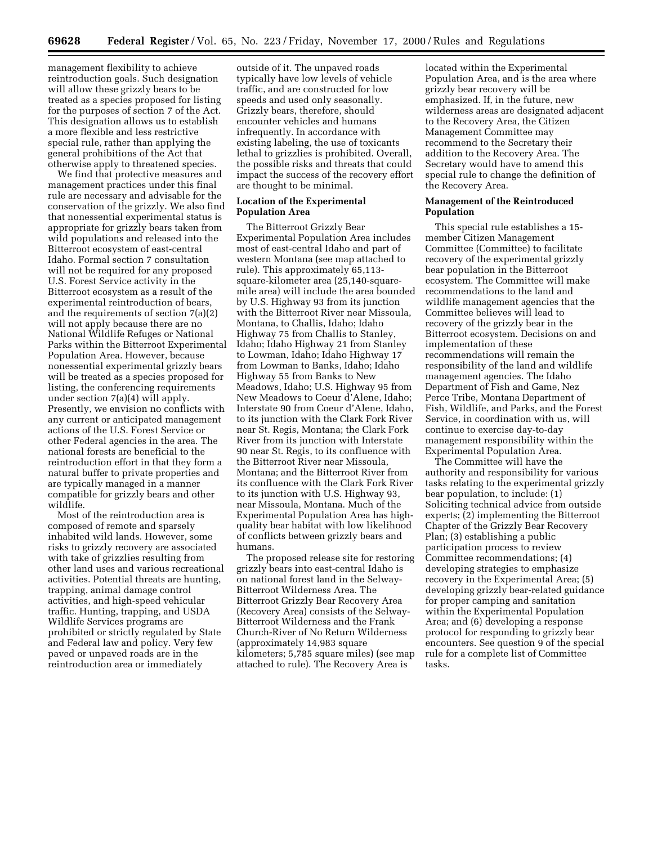management flexibility to achieve reintroduction goals. Such designation will allow these grizzly bears to be treated as a species proposed for listing for the purposes of section 7 of the Act. This designation allows us to establish a more flexible and less restrictive special rule, rather than applying the general prohibitions of the Act that otherwise apply to threatened species.

We find that protective measures and management practices under this final rule are necessary and advisable for the conservation of the grizzly. We also find that nonessential experimental status is appropriate for grizzly bears taken from wild populations and released into the Bitterroot ecosystem of east-central Idaho. Formal section 7 consultation will not be required for any proposed U.S. Forest Service activity in the Bitterroot ecosystem as a result of the experimental reintroduction of bears, and the requirements of section 7(a)(2) will not apply because there are no National Wildlife Refuges or National Parks within the Bitterroot Experimental Population Area. However, because nonessential experimental grizzly bears will be treated as a species proposed for listing, the conferencing requirements under section 7(a)(4) will apply. Presently, we envision no conflicts with any current or anticipated management actions of the U.S. Forest Service or other Federal agencies in the area. The national forests are beneficial to the reintroduction effort in that they form a natural buffer to private properties and are typically managed in a manner compatible for grizzly bears and other wildlife.

Most of the reintroduction area is composed of remote and sparsely inhabited wild lands. However, some risks to grizzly recovery are associated with take of grizzlies resulting from other land uses and various recreational activities. Potential threats are hunting, trapping, animal damage control activities, and high-speed vehicular traffic. Hunting, trapping, and USDA Wildlife Services programs are prohibited or strictly regulated by State and Federal law and policy. Very few paved or unpaved roads are in the reintroduction area or immediately

outside of it. The unpaved roads typically have low levels of vehicle traffic, and are constructed for low speeds and used only seasonally. Grizzly bears, therefore, should encounter vehicles and humans infrequently. In accordance with existing labeling, the use of toxicants lethal to grizzlies is prohibited. Overall, the possible risks and threats that could impact the success of the recovery effort are thought to be minimal.

#### **Location of the Experimental Population Area**

The Bitterroot Grizzly Bear Experimental Population Area includes most of east-central Idaho and part of western Montana (see map attached to rule). This approximately 65,113 square-kilometer area (25,140-squaremile area) will include the area bounded by U.S. Highway 93 from its junction with the Bitterroot River near Missoula, Montana, to Challis, Idaho; Idaho Highway 75 from Challis to Stanley, Idaho; Idaho Highway 21 from Stanley to Lowman, Idaho; Idaho Highway 17 from Lowman to Banks, Idaho; Idaho Highway 55 from Banks to New Meadows, Idaho; U.S. Highway 95 from New Meadows to Coeur d'Alene, Idaho; Interstate 90 from Coeur d'Alene, Idaho, to its junction with the Clark Fork River near St. Regis, Montana; the Clark Fork River from its junction with Interstate 90 near St. Regis, to its confluence with the Bitterroot River near Missoula, Montana; and the Bitterroot River from its confluence with the Clark Fork River to its junction with U.S. Highway 93, near Missoula, Montana. Much of the Experimental Population Area has highquality bear habitat with low likelihood of conflicts between grizzly bears and humans.

The proposed release site for restoring grizzly bears into east-central Idaho is on national forest land in the Selway-Bitterroot Wilderness Area. The Bitterroot Grizzly Bear Recovery Area (Recovery Area) consists of the Selway-Bitterroot Wilderness and the Frank Church-River of No Return Wilderness (approximately 14,983 square kilometers; 5,785 square miles) (see map attached to rule). The Recovery Area is

located within the Experimental Population Area, and is the area where grizzly bear recovery will be emphasized. If, in the future, new wilderness areas are designated adjacent to the Recovery Area, the Citizen Management Committee may recommend to the Secretary their addition to the Recovery Area. The Secretary would have to amend this special rule to change the definition of the Recovery Area.

#### **Management of the Reintroduced Population**

This special rule establishes a 15 member Citizen Management Committee (Committee) to facilitate recovery of the experimental grizzly bear population in the Bitterroot ecosystem. The Committee will make recommendations to the land and wildlife management agencies that the Committee believes will lead to recovery of the grizzly bear in the Bitterroot ecosystem. Decisions on and implementation of these recommendations will remain the responsibility of the land and wildlife management agencies. The Idaho Department of Fish and Game, Nez Perce Tribe, Montana Department of Fish, Wildlife, and Parks, and the Forest Service, in coordination with us, will continue to exercise day-to-day management responsibility within the Experimental Population Area.

The Committee will have the authority and responsibility for various tasks relating to the experimental grizzly bear population, to include: (1) Soliciting technical advice from outside experts; (2) implementing the Bitterroot Chapter of the Grizzly Bear Recovery Plan; (3) establishing a public participation process to review Committee recommendations; (4) developing strategies to emphasize recovery in the Experimental Area; (5) developing grizzly bear-related guidance for proper camping and sanitation within the Experimental Population Area; and (6) developing a response protocol for responding to grizzly bear encounters. See question 9 of the special rule for a complete list of Committee tasks.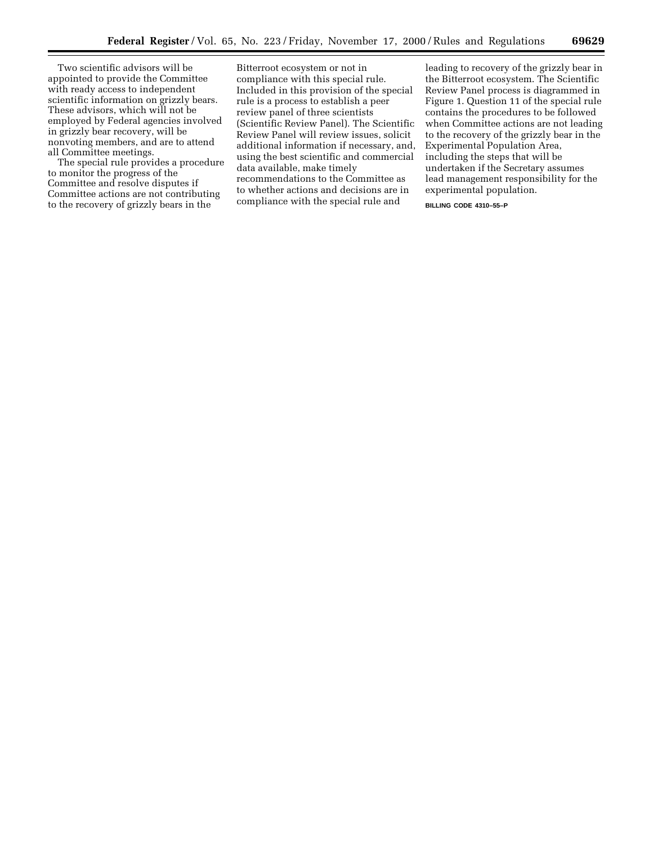Two scientific advisors will be appointed to provide the Committee with ready access to independent scientific information on grizzly bears. These advisors, which will not be employed by Federal agencies involved in grizzly bear recovery, will be nonvoting members, and are to attend all Committee meetings.

The special rule provides a procedure to monitor the progress of the Committee and resolve disputes if Committee actions are not contributing to the recovery of grizzly bears in the

Bitterroot ecosystem or not in compliance with this special rule. Included in this provision of the special rule is a process to establish a peer review panel of three scientists (Scientific Review Panel). The Scientific Review Panel will review issues, solicit additional information if necessary, and, using the best scientific and commercial data available, make timely recommendations to the Committee as to whether actions and decisions are in compliance with the special rule and

leading to recovery of the grizzly bear in the Bitterroot ecosystem. The Scientific Review Panel process is diagrammed in Figure 1. Question 11 of the special rule contains the procedures to be followed when Committee actions are not leading to the recovery of the grizzly bear in the Experimental Population Area, including the steps that will be undertaken if the Secretary assumes lead management responsibility for the experimental population.

**BILLING CODE 4310–55–P**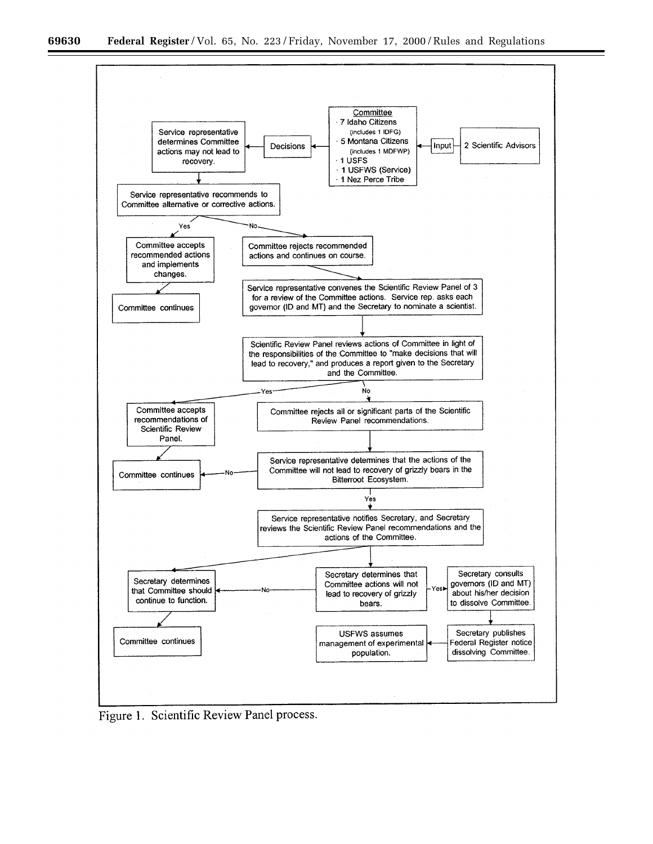

Figure 1. Scientific Review Panel process.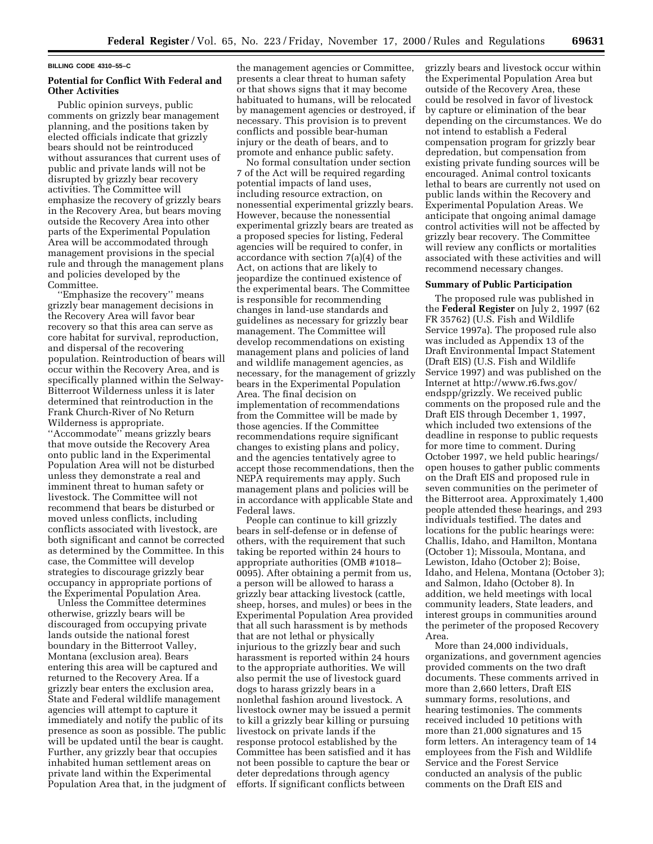#### **BILLING CODE 4310–55–C**

#### **Potential for Conflict With Federal and Other Activities**

Public opinion surveys, public comments on grizzly bear management planning, and the positions taken by elected officials indicate that grizzly bears should not be reintroduced without assurances that current uses of public and private lands will not be disrupted by grizzly bear recovery activities. The Committee will emphasize the recovery of grizzly bears in the Recovery Area, but bears moving outside the Recovery Area into other parts of the Experimental Population Area will be accommodated through management provisions in the special rule and through the management plans and policies developed by the Committee.

''Emphasize the recovery'' means grizzly bear management decisions in the Recovery Area will favor bear recovery so that this area can serve as core habitat for survival, reproduction, and dispersal of the recovering population. Reintroduction of bears will occur within the Recovery Area, and is specifically planned within the Selway-Bitterroot Wilderness unless it is later determined that reintroduction in the Frank Church-River of No Return Wilderness is appropriate. ''Accommodate'' means grizzly bears that move outside the Recovery Area onto public land in the Experimental Population Area will not be disturbed unless they demonstrate a real and imminent threat to human safety or livestock. The Committee will not recommend that bears be disturbed or moved unless conflicts, including conflicts associated with livestock, are both significant and cannot be corrected as determined by the Committee. In this case, the Committee will develop strategies to discourage grizzly bear occupancy in appropriate portions of the Experimental Population Area.

Unless the Committee determines otherwise, grizzly bears will be discouraged from occupying private lands outside the national forest boundary in the Bitterroot Valley, Montana (exclusion area). Bears entering this area will be captured and returned to the Recovery Area. If a grizzly bear enters the exclusion area, State and Federal wildlife management agencies will attempt to capture it immediately and notify the public of its presence as soon as possible. The public will be updated until the bear is caught. Further, any grizzly bear that occupies inhabited human settlement areas on private land within the Experimental Population Area that, in the judgment of the management agencies or Committee, presents a clear threat to human safety or that shows signs that it may become habituated to humans, will be relocated by management agencies or destroyed, if necessary. This provision is to prevent conflicts and possible bear-human injury or the death of bears, and to promote and enhance public safety.

No formal consultation under section 7 of the Act will be required regarding potential impacts of land uses, including resource extraction, on nonessential experimental grizzly bears. However, because the nonessential experimental grizzly bears are treated as a proposed species for listing, Federal agencies will be required to confer, in accordance with section 7(a)(4) of the Act, on actions that are likely to jeopardize the continued existence of the experimental bears. The Committee is responsible for recommending changes in land-use standards and guidelines as necessary for grizzly bear management. The Committee will develop recommendations on existing management plans and policies of land and wildlife management agencies, as necessary, for the management of grizzly bears in the Experimental Population Area. The final decision on implementation of recommendations from the Committee will be made by those agencies. If the Committee recommendations require significant changes to existing plans and policy, and the agencies tentatively agree to accept those recommendations, then the NEPA requirements may apply. Such management plans and policies will be in accordance with applicable State and Federal laws.

People can continue to kill grizzly bears in self-defense or in defense of others, with the requirement that such taking be reported within 24 hours to appropriate authorities (OMB #1018– 0095). After obtaining a permit from us, a person will be allowed to harass a grizzly bear attacking livestock (cattle, sheep, horses, and mules) or bees in the Experimental Population Area provided that all such harassment is by methods that are not lethal or physically injurious to the grizzly bear and such harassment is reported within 24 hours to the appropriate authorities. We will also permit the use of livestock guard dogs to harass grizzly bears in a nonlethal fashion around livestock. A livestock owner may be issued a permit to kill a grizzly bear killing or pursuing livestock on private lands if the response protocol established by the Committee has been satisfied and it has not been possible to capture the bear or deter depredations through agency efforts. If significant conflicts between

grizzly bears and livestock occur within the Experimental Population Area but outside of the Recovery Area, these could be resolved in favor of livestock by capture or elimination of the bear depending on the circumstances. We do not intend to establish a Federal compensation program for grizzly bear depredation, but compensation from existing private funding sources will be encouraged. Animal control toxicants lethal to bears are currently not used on public lands within the Recovery and Experimental Population Areas. We anticipate that ongoing animal damage control activities will not be affected by grizzly bear recovery. The Committee will review any conflicts or mortalities associated with these activities and will recommend necessary changes.

#### **Summary of Public Participation**

The proposed rule was published in the **Federal Register** on July 2, 1997 (62 FR 35762) (U.S. Fish and Wildlife Service 1997a). The proposed rule also was included as Appendix 13 of the Draft Environmental Impact Statement (Draft EIS) (U.S. Fish and Wildlife Service 1997) and was published on the Internet at http://www.r6.fws.gov/ endspp/grizzly. We received public comments on the proposed rule and the Draft EIS through December 1, 1997, which included two extensions of the deadline in response to public requests for more time to comment. During October 1997, we held public hearings/ open houses to gather public comments on the Draft EIS and proposed rule in seven communities on the perimeter of the Bitterroot area. Approximately 1,400 people attended these hearings, and 293 individuals testified. The dates and locations for the public hearings were: Challis, Idaho, and Hamilton, Montana (October 1); Missoula, Montana, and Lewiston, Idaho (October 2); Boise, Idaho, and Helena, Montana (October 3); and Salmon, Idaho (October 8). In addition, we held meetings with local community leaders, State leaders, and interest groups in communities around the perimeter of the proposed Recovery Area.

More than 24,000 individuals, organizations, and government agencies provided comments on the two draft documents. These comments arrived in more than 2,660 letters, Draft EIS summary forms, resolutions, and hearing testimonies. The comments received included 10 petitions with more than 21,000 signatures and 15 form letters. An interagency team of 14 employees from the Fish and Wildlife Service and the Forest Service conducted an analysis of the public comments on the Draft EIS and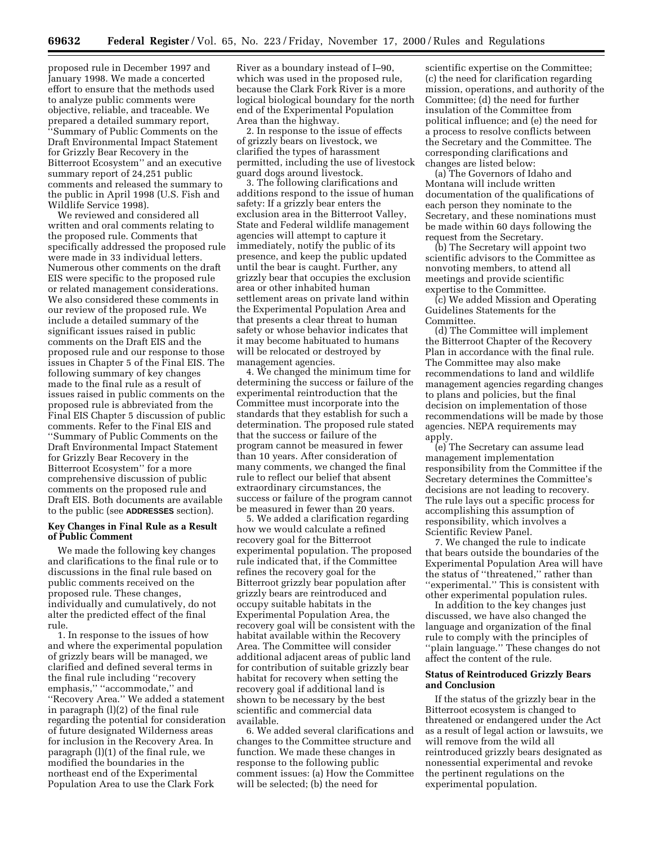proposed rule in December 1997 and January 1998. We made a concerted effort to ensure that the methods used to analyze public comments were objective, reliable, and traceable. We prepared a detailed summary report, ''Summary of Public Comments on the Draft Environmental Impact Statement for Grizzly Bear Recovery in the Bitterroot Ecosystem'' and an executive summary report of 24,251 public comments and released the summary to the public in April 1998 (U.S. Fish and Wildlife Service 1998).

We reviewed and considered all written and oral comments relating to the proposed rule. Comments that specifically addressed the proposed rule were made in 33 individual letters. Numerous other comments on the draft EIS were specific to the proposed rule or related management considerations. We also considered these comments in our review of the proposed rule. We include a detailed summary of the significant issues raised in public comments on the Draft EIS and the proposed rule and our response to those issues in Chapter 5 of the Final EIS. The following summary of key changes made to the final rule as a result of issues raised in public comments on the proposed rule is abbreviated from the Final EIS Chapter 5 discussion of public comments. Refer to the Final EIS and ''Summary of Public Comments on the Draft Environmental Impact Statement for Grizzly Bear Recovery in the Bitterroot Ecosystem'' for a more comprehensive discussion of public comments on the proposed rule and Draft EIS. Both documents are available to the public (see **ADDRESSES** section).

#### **Key Changes in Final Rule as a Result of Public Comment**

We made the following key changes and clarifications to the final rule or to discussions in the final rule based on public comments received on the proposed rule. These changes, individually and cumulatively, do not alter the predicted effect of the final rule.

1. In response to the issues of how and where the experimental population of grizzly bears will be managed, we clarified and defined several terms in the final rule including ''recovery emphasis," "accommodate," and ''Recovery Area.'' We added a statement in paragraph (l)(2) of the final rule regarding the potential for consideration of future designated Wilderness areas for inclusion in the Recovery Area. In paragraph (l)(1) of the final rule, we modified the boundaries in the northeast end of the Experimental Population Area to use the Clark Fork

River as a boundary instead of I–90, which was used in the proposed rule, because the Clark Fork River is a more logical biological boundary for the north end of the Experimental Population Area than the highway.

2. In response to the issue of effects of grizzly bears on livestock, we clarified the types of harassment permitted, including the use of livestock guard dogs around livestock.

3. The following clarifications and additions respond to the issue of human safety: If a grizzly bear enters the exclusion area in the Bitterroot Valley, State and Federal wildlife management agencies will attempt to capture it immediately, notify the public of its presence, and keep the public updated until the bear is caught. Further, any grizzly bear that occupies the exclusion area or other inhabited human settlement areas on private land within the Experimental Population Area and that presents a clear threat to human safety or whose behavior indicates that it may become habituated to humans will be relocated or destroyed by management agencies.

4. We changed the minimum time for determining the success or failure of the experimental reintroduction that the Committee must incorporate into the standards that they establish for such a determination. The proposed rule stated that the success or failure of the program cannot be measured in fewer than 10 years. After consideration of many comments, we changed the final rule to reflect our belief that absent extraordinary circumstances, the success or failure of the program cannot be measured in fewer than 20 years.

5. We added a clarification regarding how we would calculate a refined recovery goal for the Bitterroot experimental population. The proposed rule indicated that, if the Committee refines the recovery goal for the Bitterroot grizzly bear population after grizzly bears are reintroduced and occupy suitable habitats in the Experimental Population Area, the recovery goal will be consistent with the habitat available within the Recovery Area. The Committee will consider additional adjacent areas of public land for contribution of suitable grizzly bear habitat for recovery when setting the recovery goal if additional land is shown to be necessary by the best scientific and commercial data available.

6. We added several clarifications and changes to the Committee structure and function. We made these changes in response to the following public comment issues: (a) How the Committee will be selected; (b) the need for

scientific expertise on the Committee; (c) the need for clarification regarding mission, operations, and authority of the Committee; (d) the need for further insulation of the Committee from political influence; and (e) the need for a process to resolve conflicts between the Secretary and the Committee. The corresponding clarifications and changes are listed below:

(a) The Governors of Idaho and Montana will include written documentation of the qualifications of each person they nominate to the Secretary, and these nominations must be made within 60 days following the request from the Secretary.

(b) The Secretary will appoint two scientific advisors to the Committee as nonvoting members, to attend all meetings and provide scientific expertise to the Committee.

(c) We added Mission and Operating Guidelines Statements for the Committee.

(d) The Committee will implement the Bitterroot Chapter of the Recovery Plan in accordance with the final rule. The Committee may also make recommendations to land and wildlife management agencies regarding changes to plans and policies, but the final decision on implementation of those recommendations will be made by those agencies. NEPA requirements may apply.

(e) The Secretary can assume lead management implementation responsibility from the Committee if the Secretary determines the Committee's decisions are not leading to recovery. The rule lays out a specific process for accomplishing this assumption of responsibility, which involves a Scientific Review Panel.

7. We changed the rule to indicate that bears outside the boundaries of the Experimental Population Area will have the status of ''threatened,'' rather than ''experimental.'' This is consistent with other experimental population rules.

In addition to the key changes just discussed, we have also changed the language and organization of the final rule to comply with the principles of ''plain language.'' These changes do not affect the content of the rule.

#### **Status of Reintroduced Grizzly Bears and Conclusion**

If the status of the grizzly bear in the Bitterroot ecosystem is changed to threatened or endangered under the Act as a result of legal action or lawsuits, we will remove from the wild all reintroduced grizzly bears designated as nonessential experimental and revoke the pertinent regulations on the experimental population.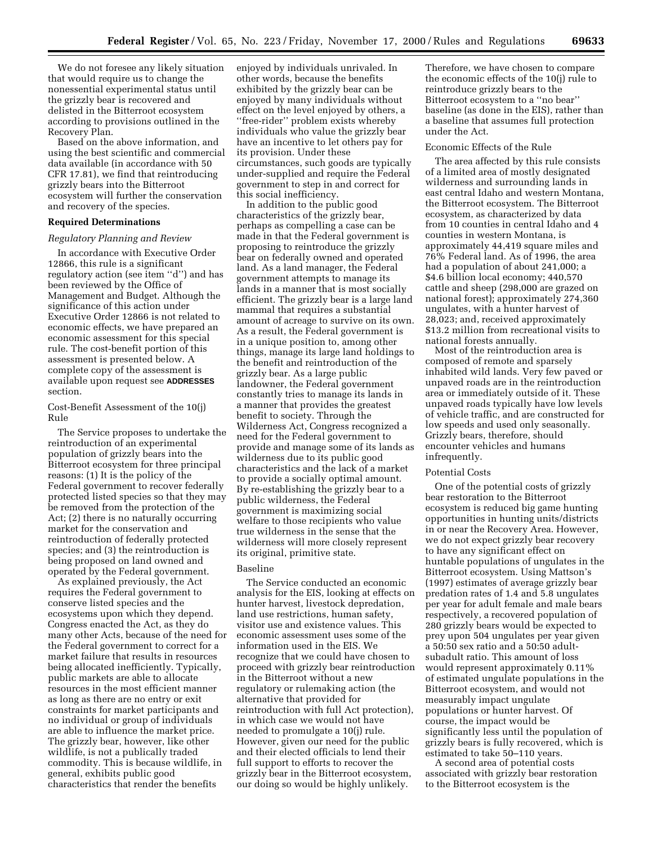We do not foresee any likely situation that would require us to change the nonessential experimental status until the grizzly bear is recovered and delisted in the Bitterroot ecosystem according to provisions outlined in the Recovery Plan.

Based on the above information, and using the best scientific and commercial data available (in accordance with 50 CFR 17.81), we find that reintroducing grizzly bears into the Bitterroot ecosystem will further the conservation and recovery of the species.

#### **Required Determinations**

#### *Regulatory Planning and Review*

In accordance with Executive Order 12866, this rule is a significant regulatory action (see item ''d'') and has been reviewed by the Office of Management and Budget. Although the significance of this action under Executive Order 12866 is not related to economic effects, we have prepared an economic assessment for this special rule. The cost-benefit portion of this assessment is presented below. A complete copy of the assessment is available upon request see **ADDRESSES** section.

Cost-Benefit Assessment of the 10(j) Rule

The Service proposes to undertake the reintroduction of an experimental population of grizzly bears into the Bitterroot ecosystem for three principal reasons: (1) It is the policy of the Federal government to recover federally protected listed species so that they may be removed from the protection of the Act; (2) there is no naturally occurring market for the conservation and reintroduction of federally protected species; and (3) the reintroduction is being proposed on land owned and operated by the Federal government.

As explained previously, the Act requires the Federal government to conserve listed species and the ecosystems upon which they depend. Congress enacted the Act, as they do many other Acts, because of the need for the Federal government to correct for a market failure that results in resources being allocated inefficiently. Typically, public markets are able to allocate resources in the most efficient manner as long as there are no entry or exit constraints for market participants and no individual or group of individuals are able to influence the market price. The grizzly bear, however, like other wildlife, is not a publically traded commodity. This is because wildlife, in general, exhibits public good characteristics that render the benefits

enjoyed by individuals unrivaled. In other words, because the benefits exhibited by the grizzly bear can be enjoyed by many individuals without effect on the level enjoyed by others, a ''free-rider'' problem exists whereby individuals who value the grizzly bear have an incentive to let others pay for its provision. Under these circumstances, such goods are typically under-supplied and require the Federal government to step in and correct for this social inefficiency.

In addition to the public good characteristics of the grizzly bear, perhaps as compelling a case can be made in that the Federal government is proposing to reintroduce the grizzly bear on federally owned and operated land. As a land manager, the Federal government attempts to manage its lands in a manner that is most socially efficient. The grizzly bear is a large land mammal that requires a substantial amount of acreage to survive on its own. As a result, the Federal government is in a unique position to, among other things, manage its large land holdings to the benefit and reintroduction of the grizzly bear. As a large public landowner, the Federal government constantly tries to manage its lands in a manner that provides the greatest benefit to society. Through the Wilderness Act, Congress recognized a need for the Federal government to provide and manage some of its lands as wilderness due to its public good characteristics and the lack of a market to provide a socially optimal amount. By re-establishing the grizzly bear to a public wilderness, the Federal government is maximizing social welfare to those recipients who value true wilderness in the sense that the wilderness will more closely represent its original, primitive state.

#### Baseline

The Service conducted an economic analysis for the EIS, looking at effects on hunter harvest, livestock depredation, land use restrictions, human safety, visitor use and existence values. This economic assessment uses some of the information used in the EIS. We recognize that we could have chosen to proceed with grizzly bear reintroduction in the Bitterroot without a new regulatory or rulemaking action (the alternative that provided for reintroduction with full Act protection), in which case we would not have needed to promulgate a 10(j) rule. However, given our need for the public and their elected officials to lend their full support to efforts to recover the grizzly bear in the Bitterroot ecosystem, our doing so would be highly unlikely.

Therefore, we have chosen to compare the economic effects of the 10(j) rule to reintroduce grizzly bears to the Bitterroot ecosystem to a ''no bear'' baseline (as done in the EIS), rather than a baseline that assumes full protection under the Act.

#### Economic Effects of the Rule

The area affected by this rule consists of a limited area of mostly designated wilderness and surrounding lands in east central Idaho and western Montana, the Bitterroot ecosystem. The Bitterroot ecosystem, as characterized by data from 10 counties in central Idaho and 4 counties in western Montana, is approximately 44,419 square miles and 76% Federal land. As of 1996, the area had a population of about 241,000; a \$4.6 billion local economy; 440,570 cattle and sheep (298,000 are grazed on national forest); approximately 274,360 ungulates, with a hunter harvest of 28,023; and, received approximately \$13.2 million from recreational visits to national forests annually.

Most of the reintroduction area is composed of remote and sparsely inhabited wild lands. Very few paved or unpaved roads are in the reintroduction area or immediately outside of it. These unpaved roads typically have low levels of vehicle traffic, and are constructed for low speeds and used only seasonally. Grizzly bears, therefore, should encounter vehicles and humans infrequently.

#### Potential Costs

One of the potential costs of grizzly bear restoration to the Bitterroot ecosystem is reduced big game hunting opportunities in hunting units/districts in or near the Recovery Area. However, we do not expect grizzly bear recovery to have any significant effect on huntable populations of ungulates in the Bitterroot ecosystem. Using Mattson's (1997) estimates of average grizzly bear predation rates of 1.4 and 5.8 ungulates per year for adult female and male bears respectively, a recovered population of 280 grizzly bears would be expected to prey upon 504 ungulates per year given a 50:50 sex ratio and a 50:50 adultsubadult ratio. This amount of loss would represent approximately 0.11% of estimated ungulate populations in the Bitterroot ecosystem, and would not measurably impact ungulate populations or hunter harvest. Of course, the impact would be significantly less until the population of grizzly bears is fully recovered, which is estimated to take 50–110 years.

A second area of potential costs associated with grizzly bear restoration to the Bitterroot ecosystem is the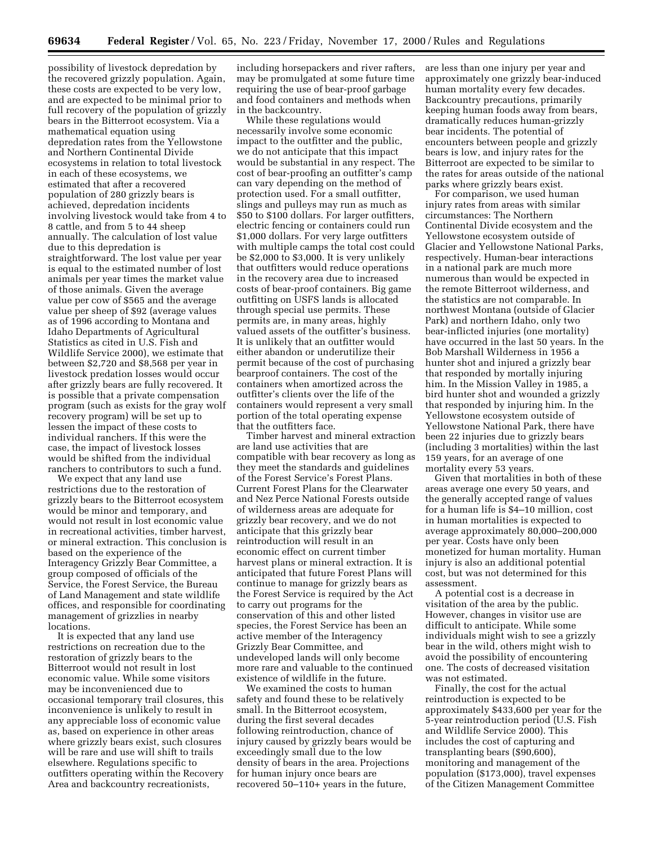possibility of livestock depredation by the recovered grizzly population. Again, these costs are expected to be very low, and are expected to be minimal prior to full recovery of the population of grizzly bears in the Bitterroot ecosystem. Via a mathematical equation using depredation rates from the Yellowstone and Northern Continental Divide ecosystems in relation to total livestock in each of these ecosystems, we estimated that after a recovered population of 280 grizzly bears is achieved, depredation incidents involving livestock would take from 4 to 8 cattle, and from 5 to 44 sheep annually. The calculation of lost value due to this depredation is straightforward. The lost value per year is equal to the estimated number of lost animals per year times the market value of those animals. Given the average value per cow of \$565 and the average value per sheep of \$92 (average values as of 1996 according to Montana and Idaho Departments of Agricultural Statistics as cited in U.S. Fish and Wildlife Service 2000), we estimate that between \$2,720 and \$8,568 per year in livestock predation losses would occur after grizzly bears are fully recovered. It is possible that a private compensation program (such as exists for the gray wolf recovery program) will be set up to lessen the impact of these costs to individual ranchers. If this were the case, the impact of livestock losses would be shifted from the individual ranchers to contributors to such a fund.

We expect that any land use restrictions due to the restoration of grizzly bears to the Bitterroot ecosystem would be minor and temporary, and would not result in lost economic value in recreational activities, timber harvest, or mineral extraction. This conclusion is based on the experience of the Interagency Grizzly Bear Committee, a group composed of officials of the Service, the Forest Service, the Bureau of Land Management and state wildlife offices, and responsible for coordinating management of grizzlies in nearby locations.

It is expected that any land use restrictions on recreation due to the restoration of grizzly bears to the Bitterroot would not result in lost economic value. While some visitors may be inconvenienced due to occasional temporary trail closures, this inconvenience is unlikely to result in any appreciable loss of economic value as, based on experience in other areas where grizzly bears exist, such closures will be rare and use will shift to trails elsewhere. Regulations specific to outfitters operating within the Recovery Area and backcountry recreationists,

including horsepackers and river rafters, may be promulgated at some future time requiring the use of bear-proof garbage and food containers and methods when in the backcountry.

While these regulations would necessarily involve some economic impact to the outfitter and the public, we do not anticipate that this impact would be substantial in any respect. The cost of bear-proofing an outfitter's camp can vary depending on the method of protection used. For a small outfitter, slings and pulleys may run as much as \$50 to \$100 dollars. For larger outfitters, electric fencing or containers could run \$1,000 dollars. For very large outfitters with multiple camps the total cost could be \$2,000 to \$3,000. It is very unlikely that outfitters would reduce operations in the recovery area due to increased costs of bear-proof containers. Big game outfitting on USFS lands is allocated through special use permits. These permits are, in many areas, highly valued assets of the outfitter's business. It is unlikely that an outfitter would either abandon or underutilize their permit because of the cost of purchasing bearproof containers. The cost of the containers when amortized across the outfitter's clients over the life of the containers would represent a very small portion of the total operating expense that the outfitters face.

Timber harvest and mineral extraction are land use activities that are compatible with bear recovery as long as they meet the standards and guidelines of the Forest Service's Forest Plans. Current Forest Plans for the Clearwater and Nez Perce National Forests outside of wilderness areas are adequate for grizzly bear recovery, and we do not anticipate that this grizzly bear reintroduction will result in an economic effect on current timber harvest plans or mineral extraction. It is anticipated that future Forest Plans will continue to manage for grizzly bears as the Forest Service is required by the Act to carry out programs for the conservation of this and other listed species, the Forest Service has been an active member of the Interagency Grizzly Bear Committee, and undeveloped lands will only become more rare and valuable to the continued existence of wildlife in the future.

We examined the costs to human safety and found these to be relatively small. In the Bitterroot ecosystem, during the first several decades following reintroduction, chance of injury caused by grizzly bears would be exceedingly small due to the low density of bears in the area. Projections for human injury once bears are recovered 50–110+ years in the future,

are less than one injury per year and approximately one grizzly bear-induced human mortality every few decades. Backcountry precautions, primarily keeping human foods away from bears, dramatically reduces human-grizzly bear incidents. The potential of encounters between people and grizzly bears is low, and injury rates for the Bitterroot are expected to be similar to the rates for areas outside of the national parks where grizzly bears exist.

For comparison, we used human injury rates from areas with similar circumstances: The Northern Continental Divide ecosystem and the Yellowstone ecosystem outside of Glacier and Yellowstone National Parks, respectively. Human-bear interactions in a national park are much more numerous than would be expected in the remote Bitterroot wilderness, and the statistics are not comparable. In northwest Montana (outside of Glacier Park) and northern Idaho, only two bear-inflicted injuries (one mortality) have occurred in the last 50 years. In the Bob Marshall Wilderness in 1956 a hunter shot and injured a grizzly bear that responded by mortally injuring him. In the Mission Valley in 1985, a bird hunter shot and wounded a grizzly that responded by injuring him. In the Yellowstone ecosystem outside of Yellowstone National Park, there have been 22 injuries due to grizzly bears (including 3 mortalities) within the last 159 years, for an average of one mortality every 53 years.

Given that mortalities in both of these areas average one every 50 years, and the generally accepted range of values for a human life is \$4–10 million, cost in human mortalities is expected to average approximately 80,000–200,000 per year. Costs have only been monetized for human mortality. Human injury is also an additional potential cost, but was not determined for this assessment.

A potential cost is a decrease in visitation of the area by the public. However, changes in visitor use are difficult to anticipate. While some individuals might wish to see a grizzly bear in the wild, others might wish to avoid the possibility of encountering one. The costs of decreased visitation was not estimated.

Finally, the cost for the actual reintroduction is expected to be approximately \$433,600 per year for the 5-year reintroduction period (U.S. Fish and Wildlife Service 2000). This includes the cost of capturing and transplanting bears (\$90,600), monitoring and management of the population (\$173,000), travel expenses of the Citizen Management Committee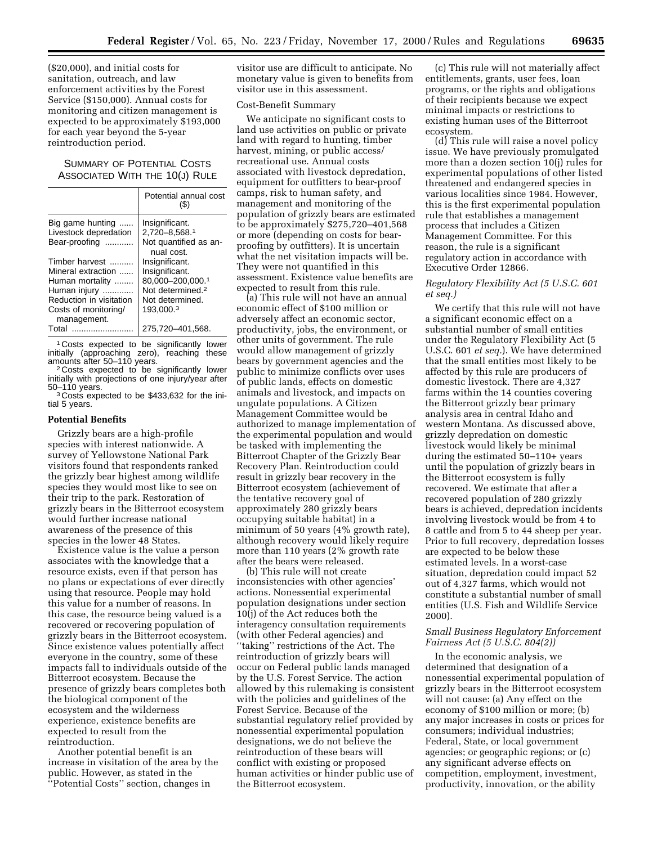(\$20,000), and initial costs for sanitation, outreach, and law enforcement activities by the Forest Service (\$150,000). Annual costs for monitoring and citizen management is expected to be approximately \$193,000 for each year beyond the 5-year reintroduction period.

### SUMMARY OF POTENTIAL COSTS ASSOCIATED WITH THE 10(J) RULE

|                                     | Potential annual cost<br>$\left( \mathbb{S}\right)$ |
|-------------------------------------|-----------------------------------------------------|
| Big game hunting                    | Insignificant.                                      |
| Livestock depredation               | 2,720-8,568.1                                       |
| Bear-proofing                       | Not quantified as an-<br>nual cost.                 |
| Timber harvest                      | Insignificant.                                      |
| Mineral extraction                  | Insignificant.                                      |
| Human mortality                     | 80,000-200,000.1                                    |
| Human injury                        | Not determined. <sup>2</sup>                        |
| Reduction in visitation             | Not determined.                                     |
| Costs of monitoring/<br>management. | 193.000.3                                           |
| Total<br>.                          | 275,720-401,568.                                    |

1 Costs expected to be significantly lower initially (approaching zero), reaching these<br>amounts after 50–110 years.

<sup>2</sup> Costs expected to be significantly lower initially with projections of one injury/year after

<sup>3</sup> Costs expected to be \$433,632 for the initial 5 years.

#### **Potential Benefits**

Grizzly bears are a high-profile species with interest nationwide. A survey of Yellowstone National Park visitors found that respondents ranked the grizzly bear highest among wildlife species they would most like to see on their trip to the park. Restoration of grizzly bears in the Bitterroot ecosystem would further increase national awareness of the presence of this species in the lower 48 States.

Existence value is the value a person associates with the knowledge that a resource exists, even if that person has no plans or expectations of ever directly using that resource. People may hold this value for a number of reasons. In this case, the resource being valued is a recovered or recovering population of grizzly bears in the Bitterroot ecosystem. Since existence values potentially affect everyone in the country, some of these impacts fall to individuals outside of the Bitterroot ecosystem. Because the presence of grizzly bears completes both the biological component of the ecosystem and the wilderness experience, existence benefits are expected to result from the reintroduction.

Another potential benefit is an increase in visitation of the area by the public. However, as stated in the ''Potential Costs'' section, changes in

visitor use are difficult to anticipate. No monetary value is given to benefits from visitor use in this assessment.

#### Cost-Benefit Summary

We anticipate no significant costs to land use activities on public or private land with regard to hunting, timber harvest, mining, or public access/ recreational use. Annual costs associated with livestock depredation, equipment for outfitters to bear-proof camps, risk to human safety, and management and monitoring of the population of grizzly bears are estimated to be approximately \$275,720–401,568 or more (depending on costs for bearproofing by outfitters). It is uncertain what the net visitation impacts will be. They were not quantified in this assessment. Existence value benefits are expected to result from this rule.

(a) This rule will not have an annual economic effect of \$100 million or adversely affect an economic sector, productivity, jobs, the environment, or other units of government. The rule would allow management of grizzly bears by government agencies and the public to minimize conflicts over uses of public lands, effects on domestic animals and livestock, and impacts on ungulate populations. A Citizen Management Committee would be authorized to manage implementation of the experimental population and would be tasked with implementing the Bitterroot Chapter of the Grizzly Bear Recovery Plan. Reintroduction could result in grizzly bear recovery in the Bitterroot ecosystem (achievement of the tentative recovery goal of approximately 280 grizzly bears occupying suitable habitat) in a minimum of 50 years (4% growth rate), although recovery would likely require more than 110 years (2% growth rate after the bears were released.

(b) This rule will not create inconsistencies with other agencies' actions. Nonessential experimental population designations under section 10(j) of the Act reduces both the interagency consultation requirements (with other Federal agencies) and ''taking'' restrictions of the Act. The reintroduction of grizzly bears will occur on Federal public lands managed by the U.S. Forest Service. The action allowed by this rulemaking is consistent with the policies and guidelines of the Forest Service. Because of the substantial regulatory relief provided by nonessential experimental population designations, we do not believe the reintroduction of these bears will conflict with existing or proposed human activities or hinder public use of the Bitterroot ecosystem.

(c) This rule will not materially affect entitlements, grants, user fees, loan programs, or the rights and obligations of their recipients because we expect minimal impacts or restrictions to existing human uses of the Bitterroot ecosystem.

(d) This rule will raise a novel policy issue. We have previously promulgated more than a dozen section 10(j) rules for experimental populations of other listed threatened and endangered species in various localities since 1984. However, this is the first experimental population rule that establishes a management process that includes a Citizen Management Committee. For this reason, the rule is a significant regulatory action in accordance with Executive Order 12866.

#### *Regulatory Flexibility Act (5 U.S.C. 601 et seq.)*

We certify that this rule will not have a significant economic effect on a substantial number of small entities under the Regulatory Flexibility Act (5 U.S.C. 601 *et seq.*). We have determined that the small entities most likely to be affected by this rule are producers of domestic livestock. There are 4,327 farms within the 14 counties covering the Bitterroot grizzly bear primary analysis area in central Idaho and western Montana. As discussed above, grizzly depredation on domestic livestock would likely be minimal during the estimated 50–110+ years until the population of grizzly bears in the Bitterroot ecosystem is fully recovered. We estimate that after a recovered population of 280 grizzly bears is achieved, depredation incidents involving livestock would be from 4 to 8 cattle and from 5 to 44 sheep per year. Prior to full recovery, depredation losses are expected to be below these estimated levels. In a worst-case situation, depredation could impact 52 out of 4,327 farms, which would not constitute a substantial number of small entities (U.S. Fish and Wildlife Service 2000).

#### *Small Business Regulatory Enforcement Fairness Act (5 U.S.C. 804(2))*

In the economic analysis, we determined that designation of a nonessential experimental population of grizzly bears in the Bitterroot ecosystem will not cause: (a) Any effect on the economy of \$100 million or more; (b) any major increases in costs or prices for consumers; individual industries; Federal, State, or local government agencies; or geographic regions; or (c) any significant adverse effects on competition, employment, investment, productivity, innovation, or the ability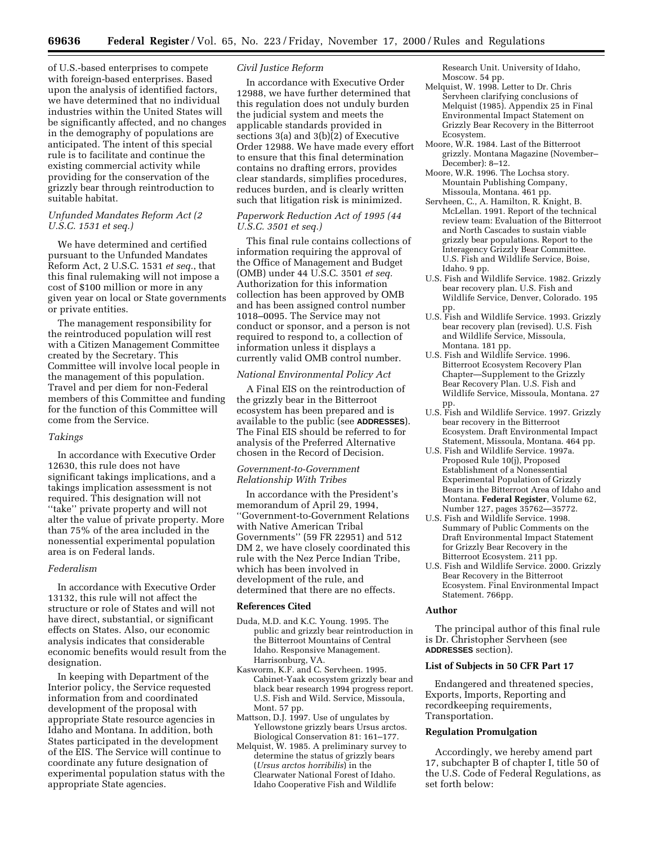of U.S.-based enterprises to compete with foreign-based enterprises. Based upon the analysis of identified factors, we have determined that no individual industries within the United States will be significantly affected, and no changes in the demography of populations are anticipated. The intent of this special rule is to facilitate and continue the existing commercial activity while providing for the conservation of the grizzly bear through reintroduction to suitable habitat.

#### *Unfunded Mandates Reform Act (2 U.S.C. 1531 et seq.)*

We have determined and certified pursuant to the Unfunded Mandates Reform Act, 2 U.S.C. 1531 *et seq.*, that this final rulemaking will not impose a cost of \$100 million or more in any given year on local or State governments or private entities.

The management responsibility for the reintroduced population will rest with a Citizen Management Committee created by the Secretary. This Committee will involve local people in the management of this population. Travel and per diem for non-Federal members of this Committee and funding for the function of this Committee will come from the Service.

#### *Takings*

In accordance with Executive Order 12630, this rule does not have significant takings implications, and a takings implication assessment is not required. This designation will not ''take'' private property and will not alter the value of private property. More than 75% of the area included in the nonessential experimental population area is on Federal lands.

#### *Federalism*

In accordance with Executive Order 13132, this rule will not affect the structure or role of States and will not have direct, substantial, or significant effects on States. Also, our economic analysis indicates that considerable economic benefits would result from the designation.

In keeping with Department of the Interior policy, the Service requested information from and coordinated development of the proposal with appropriate State resource agencies in Idaho and Montana. In addition, both States participated in the development of the EIS. The Service will continue to coordinate any future designation of experimental population status with the appropriate State agencies.

#### *Civil Justice Reform*

In accordance with Executive Order 12988, we have further determined that this regulation does not unduly burden the judicial system and meets the applicable standards provided in sections 3(a) and 3(b)(2) of Executive Order 12988. We have made every effort to ensure that this final determination contains no drafting errors, provides clear standards, simplifies procedures, reduces burden, and is clearly written such that litigation risk is minimized.

#### *Paperwork Reduction Act of 1995 (44 U.S.C. 3501 et seq.)*

This final rule contains collections of information requiring the approval of the Office of Management and Budget (OMB) under 44 U.S.C. 3501 *et seq.* Authorization for this information collection has been approved by OMB and has been assigned control number 1018–0095. The Service may not conduct or sponsor, and a person is not required to respond to, a collection of information unless it displays a currently valid OMB control number.

#### *National Environmental Policy Act*

A Final EIS on the reintroduction of the grizzly bear in the Bitterroot ecosystem has been prepared and is available to the public (see **ADDRESSES**). The Final EIS should be referred to for analysis of the Preferred Alternative chosen in the Record of Decision.

#### *Government-to-Government Relationship With Tribes*

In accordance with the President's memorandum of April 29, 1994, ''Government-to-Government Relations with Native American Tribal Governments'' (59 FR 22951) and 512 DM 2, we have closely coordinated this rule with the Nez Perce Indian Tribe, which has been involved in development of the rule, and determined that there are no effects.

#### **References Cited**

- Duda, M.D. and K.C. Young. 1995. The public and grizzly bear reintroduction in the Bitterroot Mountains of Central Idaho. Responsive Management. Harrisonburg, VA.
- Kasworm, K.F. and C. Servheen. 1995. Cabinet-Yaak ecosystem grizzly bear and black bear research 1994 progress report. U.S. Fish and Wild. Service, Missoula, Mont. 57 pp.
- Mattson, D.J. 1997. Use of ungulates by Yellowstone grizzly bears Ursus arctos. Biological Conservation 81: 161–177.
- Melquist, W. 1985. A preliminary survey to determine the status of grizzly bears (*Ursus arctos horribilis*) in the Clearwater National Forest of Idaho. Idaho Cooperative Fish and Wildlife

Research Unit. University of Idaho, Moscow. 54 pp.

- Melquist, W. 1998. Letter to Dr. Chris Servheen clarifying conclusions of Melquist (1985). Appendix 25 in Final Environmental Impact Statement on Grizzly Bear Recovery in the Bitterroot Ecosystem.
- Moore, W.R. 1984. Last of the Bitterroot grizzly. Montana Magazine (November– December): 8–12.
- Moore, W.R. 1996. The Lochsa story. Mountain Publishing Company, Missoula, Montana. 461 pp.
- Servheen, C., A. Hamilton, R. Knight, B. McLellan. 1991. Report of the technical review team: Evaluation of the Bitterroot and North Cascades to sustain viable grizzly bear populations. Report to the Interagency Grizzly Bear Committee. U.S. Fish and Wildlife Service, Boise, Idaho. 9 pp.
- U.S. Fish and Wildlife Service. 1982. Grizzly bear recovery plan. U.S. Fish and Wildlife Service, Denver, Colorado. 195 pp.
- U.S. Fish and Wildlife Service. 1993. Grizzly bear recovery plan (revised). U.S. Fish and Wildlife Service, Missoula, Montana. 181 pp.
- U.S. Fish and Wildlife Service. 1996. Bitterroot Ecosystem Recovery Plan Chapter—Supplement to the Grizzly Bear Recovery Plan. U.S. Fish and Wildlife Service, Missoula, Montana. 27 pp.
- U.S. Fish and Wildlife Service. 1997. Grizzly bear recovery in the Bitterroot Ecosystem. Draft Environmental Impact Statement, Missoula, Montana. 464 pp.
- U.S. Fish and Wildlife Service. 1997a. Proposed Rule 10(j), Proposed Establishment of a Nonessential Experimental Population of Grizzly Bears in the Bitterroot Area of Idaho and Montana. **Federal Register**, Volume 62, Number 127, pages 35762—35772.
- U.S. Fish and Wildlife Service. 1998. Summary of Public Comments on the Draft Environmental Impact Statement for Grizzly Bear Recovery in the Bitterroot Ecosystem. 211 pp.
- U.S. Fish and Wildlife Service. 2000. Grizzly Bear Recovery in the Bitterroot Ecosystem. Final Environmental Impact Statement. 766pp.

#### **Author**

The principal author of this final rule is Dr. Christopher Servheen (see **ADDRESSES** section).

#### **List of Subjects in 50 CFR Part 17**

Endangered and threatened species, Exports, Imports, Reporting and recordkeeping requirements, Transportation.

#### **Regulation Promulgation**

Accordingly, we hereby amend part 17, subchapter B of chapter I, title 50 of the U.S. Code of Federal Regulations, as set forth below: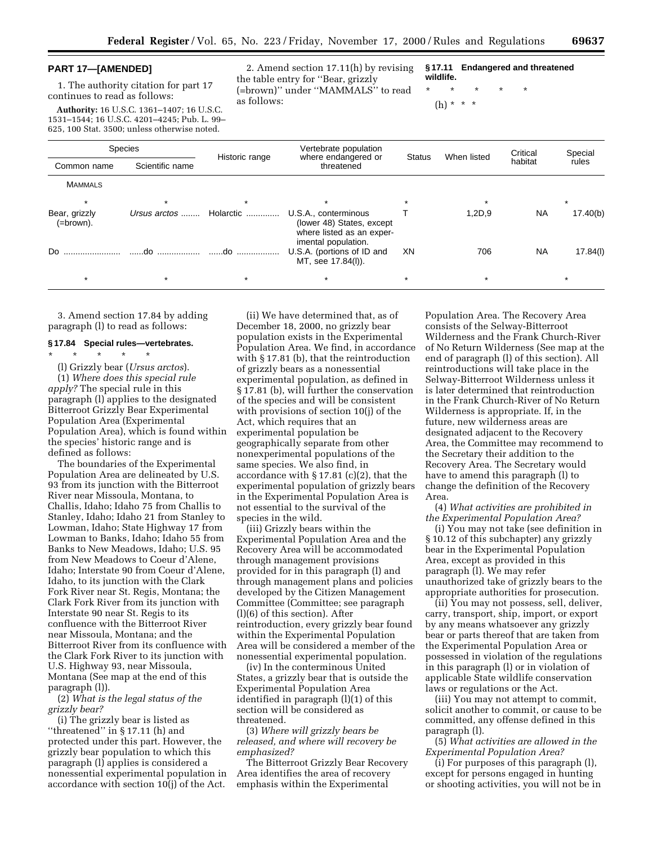#### **PART 17—[AMENDED]**

1. The authority citation for part 17 continues to read as follows:

**Authority:** 16 U.S.C. 1361–1407; 16 U.S.C. 1531–1544; 16 U.S.C. 4201–4245; Pub. L. 99– 625, 100 Stat. 3500; unless otherwise noted.

2. Amend section 17.11(h) by revising the table entry for ''Bear, grizzly (=brown)'' under ''MAMMALS'' to read as follows:

**§ 17.11 Endangered and threatened wildlife.**

\* \* \* \* \*

(h) \* \* \*

| Species                    |                 |                | Vertebrate population                                                                                 |               |             | Critical  | Special  |
|----------------------------|-----------------|----------------|-------------------------------------------------------------------------------------------------------|---------------|-------------|-----------|----------|
| Common name                | Scientific name | Historic range | where endangered or<br>threatened                                                                     | <b>Status</b> | When listed | habitat   | rules    |
| <b>MAMMALS</b>             |                 |                |                                                                                                       |               |             |           |          |
|                            |                 |                | $\star$                                                                                               |               |             |           |          |
| Bear, grizzly<br>(=brown). | Ursus arctos    | Holarctic      | U.S.A., conterminous<br>(lower 48) States, except<br>where listed as an exper-<br>imental population. |               | 1,2D,9      | <b>NA</b> | 17.40(b) |
| Do.                        | do              | do             | U.S.A. (portions of ID and<br>MT, see 17.84(l)).                                                      | XN            | 706         | <b>NA</b> | 17.84(l) |
| $\star$                    |                 | $\star$        |                                                                                                       | $\star$       | $\star$     |           |          |

3. Amend section 17.84 by adding paragraph (l) to read as follows:

#### **§ 17.84 Special rules—vertebrates.**

\* \* \* \* \* (l) Grizzly bear (*Ursus arctos*). (1) *Where does this special rule apply?* The special rule in this paragraph (l) applies to the designated Bitterroot Grizzly Bear Experimental Population Area (Experimental Population Area), which is found within the species' historic range and is defined as follows:

The boundaries of the Experimental Population Area are delineated by U.S. 93 from its junction with the Bitterroot River near Missoula, Montana, to Challis, Idaho; Idaho 75 from Challis to Stanley, Idaho; Idaho 21 from Stanley to Lowman, Idaho; State Highway 17 from Lowman to Banks, Idaho; Idaho 55 from Banks to New Meadows, Idaho; U.S. 95 from New Meadows to Coeur d'Alene, Idaho; Interstate 90 from Coeur d'Alene, Idaho, to its junction with the Clark Fork River near St. Regis, Montana; the Clark Fork River from its junction with Interstate 90 near St. Regis to its confluence with the Bitterroot River near Missoula, Montana; and the Bitterroot River from its confluence with the Clark Fork River to its junction with U.S. Highway 93, near Missoula, Montana (See map at the end of this paragraph (l)).

(2) *What is the legal status of the grizzly bear?*

(i) The grizzly bear is listed as ''threatened'' in § 17.11 (h) and protected under this part. However, the grizzly bear population to which this paragraph (l) applies is considered a nonessential experimental population in accordance with section 10(j) of the Act.

(ii) We have determined that, as of December 18, 2000, no grizzly bear population exists in the Experimental Population Area. We find, in accordance with § 17.81 (b), that the reintroduction of grizzly bears as a nonessential experimental population, as defined in § 17.81 (b), will further the conservation of the species and will be consistent with provisions of section 10(j) of the Act, which requires that an experimental population be geographically separate from other nonexperimental populations of the same species. We also find, in accordance with § 17.81 (c)(2), that the experimental population of grizzly bears in the Experimental Population Area is not essential to the survival of the species in the wild.

(iii) Grizzly bears within the Experimental Population Area and the Recovery Area will be accommodated through management provisions provided for in this paragraph (l) and through management plans and policies developed by the Citizen Management Committee (Committee; see paragraph (l)(6) of this section). After reintroduction, every grizzly bear found within the Experimental Population Area will be considered a member of the nonessential experimental population.

(iv) In the conterminous United States, a grizzly bear that is outside the Experimental Population Area identified in paragraph (l)(1) of this section will be considered as threatened.

(3) *Where will grizzly bears be released, and where will recovery be emphasized?*

The Bitterroot Grizzly Bear Recovery Area identifies the area of recovery emphasis within the Experimental

Population Area. The Recovery Area consists of the Selway-Bitterroot Wilderness and the Frank Church-River of No Return Wilderness (See map at the end of paragraph (l) of this section). All reintroductions will take place in the Selway-Bitterroot Wilderness unless it is later determined that reintroduction in the Frank Church-River of No Return Wilderness is appropriate. If, in the future, new wilderness areas are designated adjacent to the Recovery Area, the Committee may recommend to the Secretary their addition to the Recovery Area. The Secretary would have to amend this paragraph (l) to change the definition of the Recovery Area.

(4) *What activities are prohibited in the Experimental Population Area?*

(i) You may not take (see definition in § 10.12 of this subchapter) any grizzly bear in the Experimental Population Area, except as provided in this paragraph (l). We may refer unauthorized take of grizzly bears to the appropriate authorities for prosecution.

(ii) You may not possess, sell, deliver, carry, transport, ship, import, or export by any means whatsoever any grizzly bear or parts thereof that are taken from the Experimental Population Area or possessed in violation of the regulations in this paragraph (l) or in violation of applicable State wildlife conservation laws or regulations or the Act.

(iii) You may not attempt to commit, solicit another to commit, or cause to be committed, any offense defined in this paragraph (l).

(5) *What activities are allowed in the Experimental Population Area?*

(i) For purposes of this paragraph (l), except for persons engaged in hunting or shooting activities, you will not be in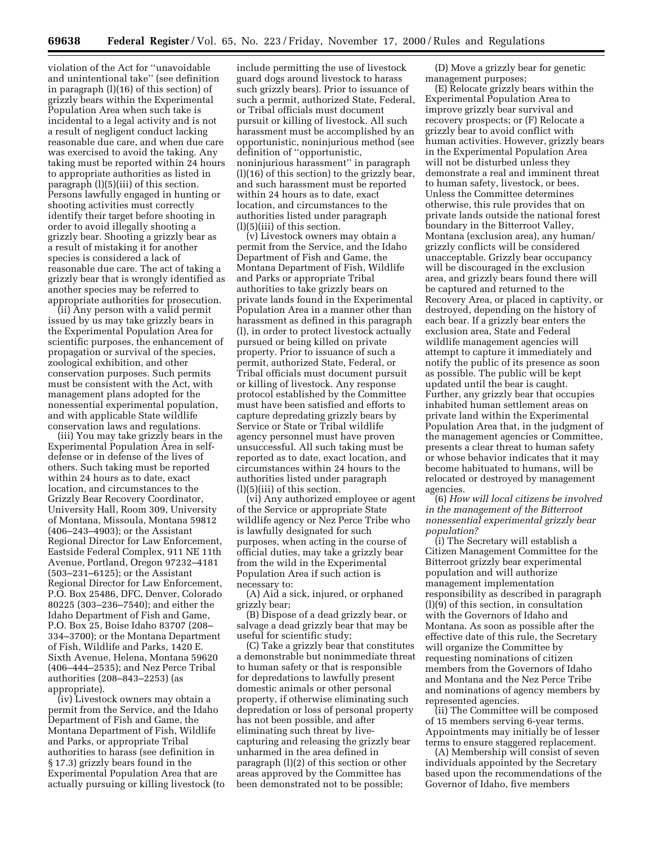violation of the Act for ''unavoidable and unintentional take'' (see definition in paragraph (l)(16) of this section) of grizzly bears within the Experimental Population Area when such take is incidental to a legal activity and is not a result of negligent conduct lacking reasonable due care, and when due care was exercised to avoid the taking. Any taking must be reported within 24 hours to appropriate authorities as listed in paragraph (l)(5)(iii) of this section. Persons lawfully engaged in hunting or shooting activities must correctly identify their target before shooting in order to avoid illegally shooting a grizzly bear. Shooting a grizzly bear as a result of mistaking it for another species is considered a lack of reasonable due care. The act of taking a grizzly bear that is wrongly identified as another species may be referred to appropriate authorities for prosecution.

(ii) Any person with a valid permit issued by us may take grizzly bears in the Experimental Population Area for scientific purposes, the enhancement of propagation or survival of the species, zoological exhibition, and other conservation purposes. Such permits must be consistent with the Act, with management plans adopted for the nonessential experimental population, and with applicable State wildlife conservation laws and regulations.

(iii) You may take grizzly bears in the Experimental Population Area in selfdefense or in defense of the lives of others. Such taking must be reported within 24 hours as to date, exact location, and circumstances to the Grizzly Bear Recovery Coordinator, University Hall, Room 309, University of Montana, Missoula, Montana 59812 (406–243–4903); or the Assistant Regional Director for Law Enforcement, Eastside Federal Complex, 911 NE 11th Avenue, Portland, Oregon 97232–4181 (503–231–6125); or the Assistant Regional Director for Law Enforcement, P.O. Box 25486, DFC, Denver, Colorado 80225 (303–236–7540); and either the Idaho Department of Fish and Game, P.O. Box 25, Boise Idaho 83707 (208– 334–3700); or the Montana Department of Fish, Wildlife and Parks, 1420 E. Sixth Avenue, Helena, Montana 59620 (406–444–2535); and Nez Perce Tribal authorities (208–843–2253) (as appropriate).

(iv) Livestock owners may obtain a permit from the Service, and the Idaho Department of Fish and Game, the Montana Department of Fish, Wildlife and Parks, or appropriate Tribal authorities to harass (see definition in § 17.3) grizzly bears found in the Experimental Population Area that are actually pursuing or killing livestock (to

include permitting the use of livestock guard dogs around livestock to harass such grizzly bears). Prior to issuance of such a permit, authorized State, Federal, or Tribal officials must document pursuit or killing of livestock. All such harassment must be accomplished by an opportunistic, noninjurious method (see definition of ''opportunistic, noninjurious harassment'' in paragraph (l)(16) of this section) to the grizzly bear, and such harassment must be reported within 24 hours as to date, exact location, and circumstances to the authorities listed under paragraph (l)(5)(iii) of this section.

(v) Livestock owners may obtain a permit from the Service, and the Idaho Department of Fish and Game, the Montana Department of Fish, Wildlife and Parks or appropriate Tribal authorities to take grizzly bears on private lands found in the Experimental Population Area in a manner other than harassment as defined in this paragraph (l), in order to protect livestock actually pursued or being killed on private property. Prior to issuance of such a permit, authorized State, Federal, or Tribal officials must document pursuit or killing of livestock. Any response protocol established by the Committee must have been satisfied and efforts to capture depredating grizzly bears by Service or State or Tribal wildlife agency personnel must have proven unsuccessful. All such taking must be reported as to date, exact location, and circumstances within 24 hours to the authorities listed under paragraph (l)(5)(iii) of this section.

(vi) Any authorized employee or agent of the Service or appropriate State wildlife agency or Nez Perce Tribe who is lawfully designated for such purposes, when acting in the course of official duties, may take a grizzly bear from the wild in the Experimental Population Area if such action is necessary to:

(A) Aid a sick, injured, or orphaned grizzly bear;

(B) Dispose of a dead grizzly bear, or salvage a dead grizzly bear that may be useful for scientific study;

(C) Take a grizzly bear that constitutes a demonstrable but nonimmediate threat to human safety or that is responsible for depredations to lawfully present domestic animals or other personal property, if otherwise eliminating such depredation or loss of personal property has not been possible, and after eliminating such threat by livecapturing and releasing the grizzly bear unharmed in the area defined in paragraph (l)(2) of this section or other areas approved by the Committee has been demonstrated not to be possible;

(D) Move a grizzly bear for genetic management purposes;

(E) Relocate grizzly bears within the Experimental Population Area to improve grizzly bear survival and recovery prospects; or (F) Relocate a grizzly bear to avoid conflict with human activities. However, grizzly bears in the Experimental Population Area will not be disturbed unless they demonstrate a real and imminent threat to human safety, livestock, or bees. Unless the Committee determines otherwise, this rule provides that on private lands outside the national forest boundary in the Bitterroot Valley, Montana (exclusion area), any human/ grizzly conflicts will be considered unacceptable. Grizzly bear occupancy will be discouraged in the exclusion area, and grizzly bears found there will be captured and returned to the Recovery Area, or placed in captivity, or destroyed, depending on the history of each bear. If a grizzly bear enters the exclusion area, State and Federal wildlife management agencies will attempt to capture it immediately and notify the public of its presence as soon as possible. The public will be kept updated until the bear is caught. Further, any grizzly bear that occupies inhabited human settlement areas on private land within the Experimental Population Area that, in the judgment of the management agencies or Committee, presents a clear threat to human safety or whose behavior indicates that it may become habituated to humans, will be relocated or destroyed by management agencies.

(6) *How will local citizens be involved in the management of the Bitterroot nonessential experimental grizzly bear population?*

(i) The Secretary will establish a Citizen Management Committee for the Bitterroot grizzly bear experimental population and will authorize management implementation responsibility as described in paragraph (l)(9) of this section, in consultation with the Governors of Idaho and Montana. As soon as possible after the effective date of this rule, the Secretary will organize the Committee by requesting nominations of citizen members from the Governors of Idaho and Montana and the Nez Perce Tribe and nominations of agency members by represented agencies.

(ii) The Committee will be composed of 15 members serving 6-year terms. Appointments may initially be of lesser terms to ensure staggered replacement.

(A) Membership will consist of seven individuals appointed by the Secretary based upon the recommendations of the Governor of Idaho, five members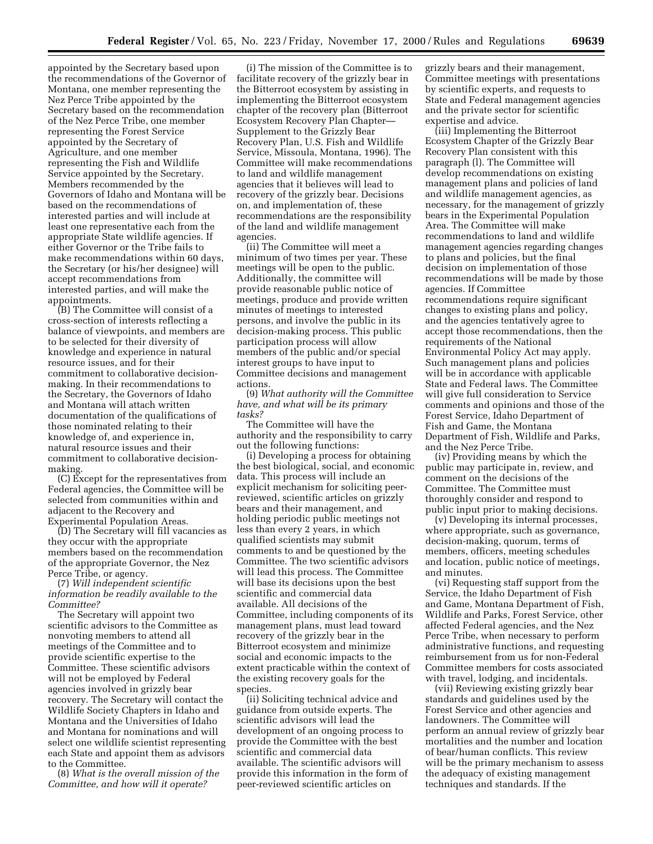appointed by the Secretary based upon the recommendations of the Governor of Montana, one member representing the Nez Perce Tribe appointed by the Secretary based on the recommendation of the Nez Perce Tribe, one member representing the Forest Service appointed by the Secretary of Agriculture, and one member representing the Fish and Wildlife Service appointed by the Secretary. Members recommended by the Governors of Idaho and Montana will be based on the recommendations of interested parties and will include at least one representative each from the appropriate State wildlife agencies. If either Governor or the Tribe fails to make recommendations within 60 days, the Secretary (or his/her designee) will accept recommendations from interested parties, and will make the appointments.

(B) The Committee will consist of a cross-section of interests reflecting a balance of viewpoints, and members are to be selected for their diversity of knowledge and experience in natural resource issues, and for their commitment to collaborative decisionmaking. In their recommendations to the Secretary, the Governors of Idaho and Montana will attach written documentation of the qualifications of those nominated relating to their knowledge of, and experience in, natural resource issues and their commitment to collaborative decisionmaking.

(C) Except for the representatives from Federal agencies, the Committee will be selected from communities within and adjacent to the Recovery and Experimental Population Areas.

(D) The Secretary will fill vacancies as they occur with the appropriate members based on the recommendation of the appropriate Governor, the Nez Perce Tribe, or agency.

(7) *Will independent scientific information be readily available to the Committee?*

The Secretary will appoint two scientific advisors to the Committee as nonvoting members to attend all meetings of the Committee and to provide scientific expertise to the Committee. These scientific advisors will not be employed by Federal agencies involved in grizzly bear recovery. The Secretary will contact the Wildlife Society Chapters in Idaho and Montana and the Universities of Idaho and Montana for nominations and will select one wildlife scientist representing each State and appoint them as advisors to the Committee.

(8) *What is the overall mission of the Committee, and how will it operate?*

(i) The mission of the Committee is to facilitate recovery of the grizzly bear in the Bitterroot ecosystem by assisting in implementing the Bitterroot ecosystem chapter of the recovery plan (Bitterroot Ecosystem Recovery Plan Chapter— Supplement to the Grizzly Bear Recovery Plan, U.S. Fish and Wildlife Service, Missoula, Montana, 1996). The Committee will make recommendations to land and wildlife management agencies that it believes will lead to recovery of the grizzly bear. Decisions on, and implementation of, these recommendations are the responsibility of the land and wildlife management agencies.

(ii) The Committee will meet a minimum of two times per year. These meetings will be open to the public. Additionally, the committee will provide reasonable public notice of meetings, produce and provide written minutes of meetings to interested persons, and involve the public in its decision-making process. This public participation process will allow members of the public and/or special interest groups to have input to Committee decisions and management actions.

(9) *What authority will the Committee have, and what will be its primary tasks?*

The Committee will have the authority and the responsibility to carry out the following functions:

(i) Developing a process for obtaining the best biological, social, and economic data. This process will include an explicit mechanism for soliciting peerreviewed, scientific articles on grizzly bears and their management, and holding periodic public meetings not less than every 2 years, in which qualified scientists may submit comments to and be questioned by the Committee. The two scientific advisors will lead this process. The Committee will base its decisions upon the best scientific and commercial data available. All decisions of the Committee, including components of its management plans, must lead toward recovery of the grizzly bear in the Bitterroot ecosystem and minimize social and economic impacts to the extent practicable within the context of the existing recovery goals for the species.

(ii) Soliciting technical advice and guidance from outside experts. The scientific advisors will lead the development of an ongoing process to provide the Committee with the best scientific and commercial data available. The scientific advisors will provide this information in the form of peer-reviewed scientific articles on

grizzly bears and their management, Committee meetings with presentations by scientific experts, and requests to State and Federal management agencies and the private sector for scientific expertise and advice.

(iii) Implementing the Bitterroot Ecosystem Chapter of the Grizzly Bear Recovery Plan consistent with this paragraph (l). The Committee will develop recommendations on existing management plans and policies of land and wildlife management agencies, as necessary, for the management of grizzly bears in the Experimental Population Area. The Committee will make recommendations to land and wildlife management agencies regarding changes to plans and policies, but the final decision on implementation of those recommendations will be made by those agencies. If Committee recommendations require significant changes to existing plans and policy, and the agencies tentatively agree to accept those recommendations, then the requirements of the National Environmental Policy Act may apply. Such management plans and policies will be in accordance with applicable State and Federal laws. The Committee will give full consideration to Service comments and opinions and those of the Forest Service, Idaho Department of Fish and Game, the Montana Department of Fish, Wildlife and Parks, and the Nez Perce Tribe.

(iv) Providing means by which the public may participate in, review, and comment on the decisions of the Committee. The Committee must thoroughly consider and respond to public input prior to making decisions.

(v) Developing its internal processes, where appropriate, such as governance, decision-making, quorum, terms of members, officers, meeting schedules and location, public notice of meetings, and minutes.

(vi) Requesting staff support from the Service, the Idaho Department of Fish and Game, Montana Department of Fish, Wildlife and Parks, Forest Service, other affected Federal agencies, and the Nez Perce Tribe, when necessary to perform administrative functions, and requesting reimbursement from us for non-Federal Committee members for costs associated with travel, lodging, and incidentals.

(vii) Reviewing existing grizzly bear standards and guidelines used by the Forest Service and other agencies and landowners. The Committee will perform an annual review of grizzly bear mortalities and the number and location of bear/human conflicts. This review will be the primary mechanism to assess the adequacy of existing management techniques and standards. If the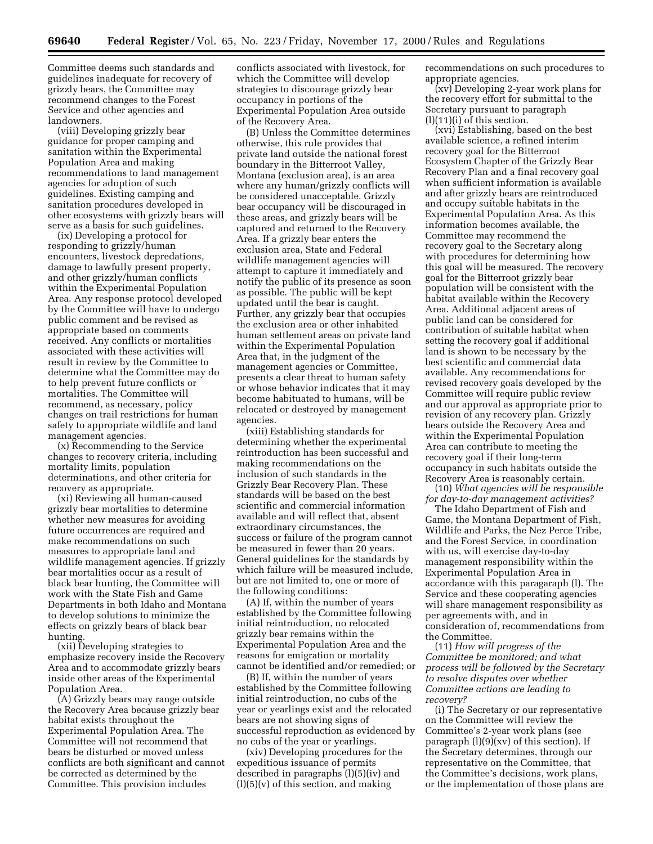Committee deems such standards and guidelines inadequate for recovery of grizzly bears, the Committee may recommend changes to the Forest Service and other agencies and landowners.

(viii) Developing grizzly bear guidance for proper camping and sanitation within the Experimental Population Area and making recommendations to land management agencies for adoption of such guidelines. Existing camping and sanitation procedures developed in other ecosystems with grizzly bears will serve as a basis for such guidelines.

(ix) Developing a protocol for responding to grizzly/human encounters, livestock depredations, damage to lawfully present property, and other grizzly/human conflicts within the Experimental Population Area. Any response protocol developed by the Committee will have to undergo public comment and be revised as appropriate based on comments received. Any conflicts or mortalities associated with these activities will result in review by the Committee to determine what the Committee may do to help prevent future conflicts or mortalities. The Committee will recommend, as necessary, policy changes on trail restrictions for human safety to appropriate wildlife and land management agencies.

(x) Recommending to the Service changes to recovery criteria, including mortality limits, population determinations, and other criteria for recovery as appropriate.

(xi) Reviewing all human-caused grizzly bear mortalities to determine whether new measures for avoiding future occurrences are required and make recommendations on such measures to appropriate land and wildlife management agencies. If grizzly bear mortalities occur as a result of black bear hunting, the Committee will work with the State Fish and Game Departments in both Idaho and Montana to develop solutions to minimize the effects on grizzly bears of black bear hunting.

(xii) Developing strategies to emphasize recovery inside the Recovery Area and to accommodate grizzly bears inside other areas of the Experimental Population Area.

(A) Grizzly bears may range outside the Recovery Area because grizzly bear habitat exists throughout the Experimental Population Area. The Committee will not recommend that bears be disturbed or moved unless conflicts are both significant and cannot be corrected as determined by the Committee. This provision includes

conflicts associated with livestock, for which the Committee will develop strategies to discourage grizzly bear occupancy in portions of the Experimental Population Area outside of the Recovery Area.

(B) Unless the Committee determines otherwise, this rule provides that private land outside the national forest boundary in the Bitterroot Valley, Montana (exclusion area), is an area where any human/grizzly conflicts will be considered unacceptable. Grizzly bear occupancy will be discouraged in these areas, and grizzly bears will be captured and returned to the Recovery Area. If a grizzly bear enters the exclusion area, State and Federal wildlife management agencies will attempt to capture it immediately and notify the public of its presence as soon as possible. The public will be kept updated until the bear is caught. Further, any grizzly bear that occupies the exclusion area or other inhabited human settlement areas on private land within the Experimental Population Area that, in the judgment of the management agencies or Committee, presents a clear threat to human safety or whose behavior indicates that it may become habituated to humans, will be relocated or destroyed by management agencies.

(xiii) Establishing standards for determining whether the experimental reintroduction has been successful and making recommendations on the inclusion of such standards in the Grizzly Bear Recovery Plan. These standards will be based on the best scientific and commercial information available and will reflect that, absent extraordinary circumstances, the success or failure of the program cannot be measured in fewer than 20 years. General guidelines for the standards by which failure will be measured include, but are not limited to, one or more of the following conditions:

(A) If, within the number of years established by the Committee following initial reintroduction, no relocated grizzly bear remains within the Experimental Population Area and the reasons for emigration or mortality cannot be identified and/or remedied; or

(B) If, within the number of years established by the Committee following initial reintroduction, no cubs of the year or yearlings exist and the relocated bears are not showing signs of successful reproduction as evidenced by no cubs of the year or yearlings.

(xiv) Developing procedures for the expeditious issuance of permits described in paragraphs (l)(5)(iv) and  $(l)(5)(v)$  of this section, and making

recommendations on such procedures to appropriate agencies.

(xv) Developing 2-year work plans for the recovery effort for submittal to the Secretary pursuant to paragraph  $(l)(11)(i)$  of this section.

(xvi) Establishing, based on the best available science, a refined interim recovery goal for the Bitterroot Ecosystem Chapter of the Grizzly Bear Recovery Plan and a final recovery goal when sufficient information is available and after grizzly bears are reintroduced and occupy suitable habitats in the Experimental Population Area. As this information becomes available, the Committee may recommend the recovery goal to the Secretary along with procedures for determining how this goal will be measured. The recovery goal for the Bitterroot grizzly bear population will be consistent with the habitat available within the Recovery Area. Additional adjacent areas of public land can be considered for contribution of suitable habitat when setting the recovery goal if additional land is shown to be necessary by the best scientific and commercial data available. Any recommendations for revised recovery goals developed by the Committee will require public review and our approval as appropriate prior to revision of any recovery plan. Grizzly bears outside the Recovery Area and within the Experimental Population Area can contribute to meeting the recovery goal if their long-term occupancy in such habitats outside the Recovery Area is reasonably certain.

(10) *What agencies will be responsible for day-to-day management activities?*

The Idaho Department of Fish and Game, the Montana Department of Fish, Wildlife and Parks, the Nez Perce Tribe, and the Forest Service, in coordination with us, will exercise day-to-day management responsibility within the Experimental Population Area in accordance with this paragaraph (l). The Service and these cooperating agencies will share management responsibility as per agreements with, and in consideration of, recommendations from the Committee.

(11) *How will progress of the Committee be monitored; and what process will be followed by the Secretary to resolve disputes over whether Committee actions are leading to recovery?*

(i) The Secretary or our representative on the Committee will review the Committee's 2-year work plans (see paragraph (l)(9)(xv) of this section). If the Secretary determines, through our representative on the Committee, that the Committee's decisions, work plans, or the implementation of those plans are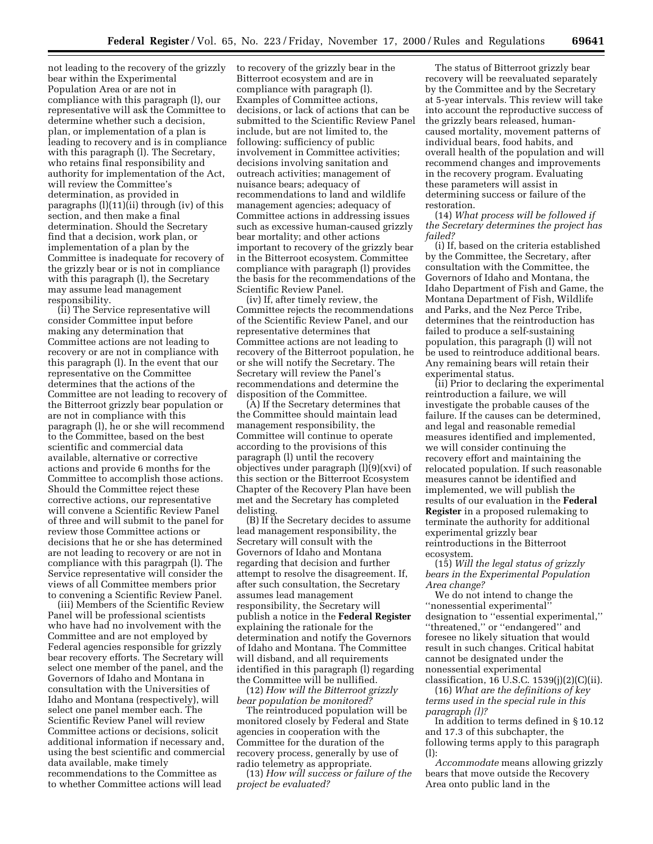not leading to the recovery of the grizzly bear within the Experimental Population Area or are not in compliance with this paragraph (l), our representative will ask the Committee to determine whether such a decision, plan, or implementation of a plan is leading to recovery and is in compliance with this paragraph (l). The Secretary, who retains final responsibility and authority for implementation of the Act, will review the Committee's determination, as provided in paragraphs (l)(11)(ii) through (iv) of this section, and then make a final determination. Should the Secretary find that a decision, work plan, or implementation of a plan by the Committee is inadequate for recovery of the grizzly bear or is not in compliance with this paragraph (l), the Secretary may assume lead management responsibility.

(ii) The Service representative will consider Committee input before making any determination that Committee actions are not leading to recovery or are not in compliance with this paragraph (l). In the event that our representative on the Committee determines that the actions of the Committee are not leading to recovery of the Bitterroot grizzly bear population or are not in compliance with this paragraph (l), he or she will recommend to the Committee, based on the best scientific and commercial data available, alternative or corrective actions and provide 6 months for the Committee to accomplish those actions. Should the Committee reject these corrective actions, our representative will convene a Scientific Review Panel of three and will submit to the panel for review those Committee actions or decisions that he or she has determined are not leading to recovery or are not in compliance with this paragrpah (l). The Service representative will consider the views of all Committee members prior to convening a Scientific Review Panel.

(iii) Members of the Scientific Review Panel will be professional scientists who have had no involvement with the Committee and are not employed by Federal agencies responsible for grizzly bear recovery efforts. The Secretary will select one member of the panel, and the Governors of Idaho and Montana in consultation with the Universities of Idaho and Montana (respectively), will select one panel member each. The Scientific Review Panel will review Committee actions or decisions, solicit additional information if necessary and, using the best scientific and commercial data available, make timely recommendations to the Committee as to whether Committee actions will lead

to recovery of the grizzly bear in the Bitterroot ecosystem and are in compliance with paragraph (l). Examples of Committee actions, decisions, or lack of actions that can be submitted to the Scientific Review Panel include, but are not limited to, the following: sufficiency of public involvement in Committee activities; decisions involving sanitation and outreach activities; management of nuisance bears; adequacy of recommendations to land and wildlife management agencies; adequacy of Committee actions in addressing issues such as excessive human-caused grizzly bear mortality; and other actions important to recovery of the grizzly bear in the Bitterroot ecosystem. Committee compliance with paragraph (l) provides the basis for the recommendations of the Scientific Review Panel.

(iv) If, after timely review, the Committee rejects the recommendations of the Scientific Review Panel, and our representative determines that Committee actions are not leading to recovery of the Bitterroot population, he or she will notify the Secretary. The Secretary will review the Panel's recommendations and determine the disposition of the Committee.

(A) If the Secretary determines that the Committee should maintain lead management responsibility, the Committee will continue to operate according to the provisions of this paragraph (l) until the recovery objectives under paragraph (l)(9)(xvi) of this section or the Bitterroot Ecosystem Chapter of the Recovery Plan have been met and the Secretary has completed delisting.

(B) If the Secretary decides to assume lead management responsibility, the Secretary will consult with the Governors of Idaho and Montana regarding that decision and further attempt to resolve the disagreement. If, after such consultation, the Secretary assumes lead management responsibility, the Secretary will publish a notice in the **Federal Register** explaining the rationale for the determination and notify the Governors of Idaho and Montana. The Committee will disband, and all requirements identified in this paragraph (l) regarding the Committee will be nullified.

(12) *How will the Bitterroot grizzly bear population be monitored?*

The reintroduced population will be monitored closely by Federal and State agencies in cooperation with the Committee for the duration of the recovery process, generally by use of radio telemetry as appropriate.

(13) *How will success or failure of the project be evaluated?*

The status of Bitterroot grizzly bear recovery will be reevaluated separately by the Committee and by the Secretary at 5-year intervals. This review will take into account the reproductive success of the grizzly bears released, humancaused mortality, movement patterns of individual bears, food habits, and overall health of the population and will recommend changes and improvements in the recovery program. Evaluating these parameters will assist in determining success or failure of the restoration.

(14) *What process will be followed if the Secretary determines the project has failed?*

(i) If, based on the criteria established by the Committee, the Secretary, after consultation with the Committee, the Governors of Idaho and Montana, the Idaho Department of Fish and Game, the Montana Department of Fish, Wildlife and Parks, and the Nez Perce Tribe, determines that the reintroduction has failed to produce a self-sustaining population, this paragraph (l) will not be used to reintroduce additional bears. Any remaining bears will retain their experimental status.

(ii) Prior to declaring the experimental reintroduction a failure, we will investigate the probable causes of the failure. If the causes can be determined, and legal and reasonable remedial measures identified and implemented, we will consider continuing the recovery effort and maintaining the relocated population. If such reasonable measures cannot be identified and implemented, we will publish the results of our evaluation in the **Federal Register** in a proposed rulemaking to terminate the authority for additional experimental grizzly bear reintroductions in the Bitterroot ecosystem.

(15) *Will the legal status of grizzly bears in the Experimental Population Area change?*

We do not intend to change the ''nonessential experimental'' designation to ''essential experimental,'' ''threatened,'' or ''endangered'' and foresee no likely situation that would result in such changes. Critical habitat cannot be designated under the nonessential experimental classification, 16 U.S.C.  $1539(j)(2)(C)(ii)$ .

(16) *What are the definitions of key terms used in the special rule in this paragraph (l)?*

In addition to terms defined in § 10.12 and 17.3 of this subchapter, the following terms apply to this paragraph (l):

*Accommodate* means allowing grizzly bears that move outside the Recovery Area onto public land in the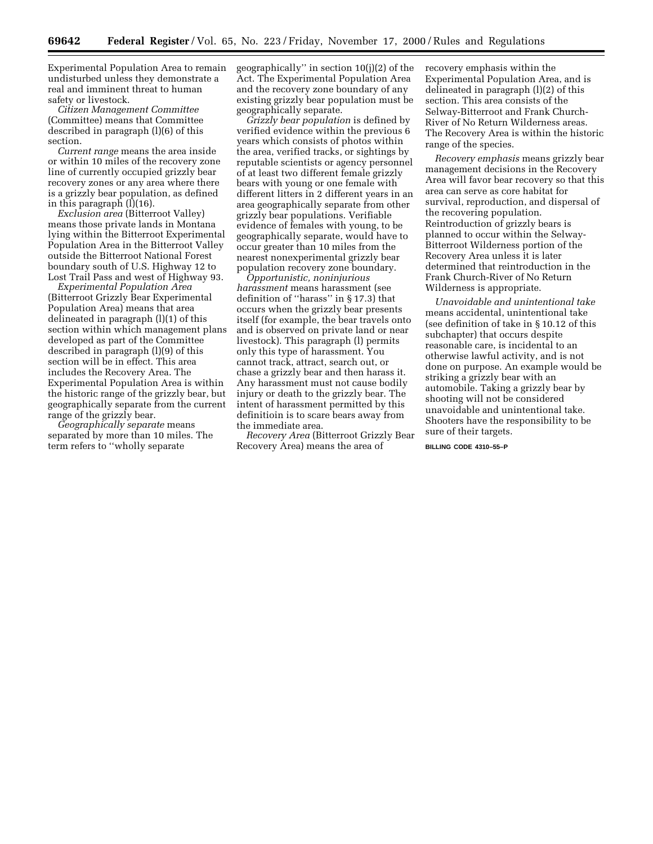Experimental Population Area to remain undisturbed unless they demonstrate a real and imminent threat to human safety or livestock.

*Citizen Management Committee* (Committee) means that Committee described in paragraph (l)(6) of this section.

*Current range* means the area inside or within 10 miles of the recovery zone line of currently occupied grizzly bear recovery zones or any area where there is a grizzly bear population, as defined in this paragraph (l)(16).

*Exclusion area* (Bitterroot Valley) means those private lands in Montana lying within the Bitterroot Experimental Population Area in the Bitterroot Valley outside the Bitterroot National Forest boundary south of U.S. Highway 12 to Lost Trail Pass and west of Highway 93.

*Experimental Population Area* (Bitterroot Grizzly Bear Experimental Population Area) means that area delineated in paragraph (l)(1) of this section within which management plans developed as part of the Committee described in paragraph (l)(9) of this section will be in effect. This area includes the Recovery Area. The Experimental Population Area is within the historic range of the grizzly bear, but geographically separate from the current range of the grizzly bear.

*Geographically separate* means separated by more than 10 miles. The term refers to ''wholly separate

geographically'' in section 10(j)(2) of the Act. The Experimental Population Area and the recovery zone boundary of any existing grizzly bear population must be geographically separate.

*Grizzly bear population* is defined by verified evidence within the previous 6 years which consists of photos within the area, verified tracks, or sightings by reputable scientists or agency personnel of at least two different female grizzly bears with young or one female with different litters in 2 different years in an area geographically separate from other grizzly bear populations. Verifiable evidence of females with young, to be geographically separate, would have to occur greater than 10 miles from the nearest nonexperimental grizzly bear population recovery zone boundary.

*Opportunistic, noninjurious harassment* means harassment (see definition of ''harass'' in § 17.3) that occurs when the grizzly bear presents itself (for example, the bear travels onto and is observed on private land or near livestock). This paragraph (l) permits only this type of harassment. You cannot track, attract, search out, or chase a grizzly bear and then harass it. Any harassment must not cause bodily injury or death to the grizzly bear. The intent of harassment permitted by this definitioin is to scare bears away from the immediate area.

*Recovery Area* (Bitterroot Grizzly Bear Recovery Area) means the area of

recovery emphasis within the Experimental Population Area, and is delineated in paragraph (l)(2) of this section. This area consists of the Selway-Bitterroot and Frank Church-River of No Return Wilderness areas. The Recovery Area is within the historic range of the species.

*Recovery emphasis* means grizzly bear management decisions in the Recovery Area will favor bear recovery so that this area can serve as core habitat for survival, reproduction, and dispersal of the recovering population. Reintroduction of grizzly bears is planned to occur within the Selway-Bitterroot Wilderness portion of the Recovery Area unless it is later determined that reintroduction in the Frank Church-River of No Return Wilderness is appropriate.

*Unavoidable and unintentional take* means accidental, unintentional take (see definition of take in § 10.12 of this subchapter) that occurs despite reasonable care, is incidental to an otherwise lawful activity, and is not done on purpose. An example would be striking a grizzly bear with an automobile. Taking a grizzly bear by shooting will not be considered unavoidable and unintentional take. Shooters have the responsibility to be sure of their targets.

**BILLING CODE 4310–55–P**